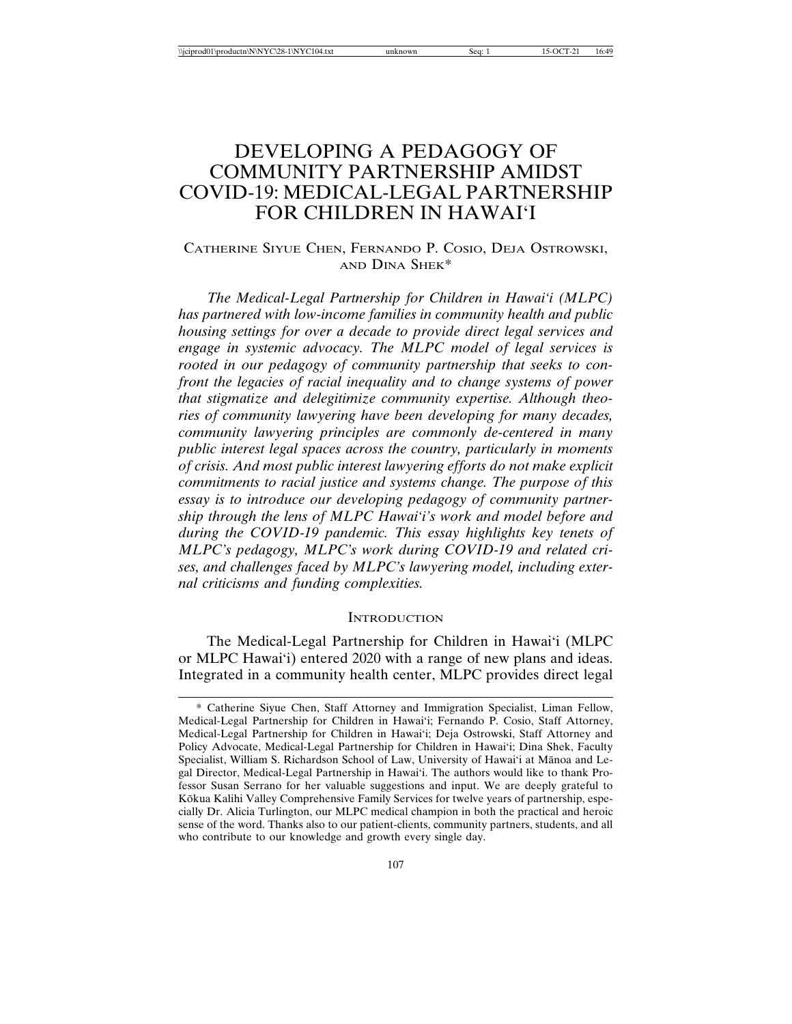# DEVELOPING A PEDAGOGY OF COMMUNITY PARTNERSHIP AMIDST COVID-19: MEDICAL-LEGAL PARTNERSHIP FOR CHILDREN IN HAWAI'I

## CATHERINE SIYUE CHEN, FERNANDO P. COSIO, DEJA OSTROWSKI, AND DINA SHEK\*

*The Medical-Legal Partnership for Children in Hawai'i (MLPC) has partnered with low-income families in community health and public housing settings for over a decade to provide direct legal services and engage in systemic advocacy. The MLPC model of legal services is rooted in our pedagogy of community partnership that seeks to confront the legacies of racial inequality and to change systems of power that stigmatize and delegitimize community expertise. Although theories of community lawyering have been developing for many decades, community lawyering principles are commonly de-centered in many public interest legal spaces across the country, particularly in moments of crisis. And most public interest lawyering efforts do not make explicit commitments to racial justice and systems change. The purpose of this essay is to introduce our developing pedagogy of community partnership through the lens of MLPC Hawai'i's work and model before and during the COVID-19 pandemic. This essay highlights key tenets of MLPC's pedagogy, MLPC's work during COVID-19 and related crises, and challenges faced by MLPC's lawyering model, including external criticisms and funding complexities.*

### **INTRODUCTION**

The Medical-Legal Partnership for Children in Hawai'i (MLPC or MLPC Hawai'i) entered 2020 with a range of new plans and ideas. Integrated in a community health center, MLPC provides direct legal

<sup>\*</sup> Catherine Siyue Chen, Staff Attorney and Immigration Specialist, Liman Fellow, Medical-Legal Partnership for Children in Hawai'i; Fernando P. Cosio, Staff Attorney, Medical-Legal Partnership for Children in Hawai'i; Deja Ostrowski, Staff Attorney and Policy Advocate, Medical-Legal Partnership for Children in Hawai'i; Dina Shek, Faculty Specialist, William S. Richardson School of Law, University of Hawai'i at Manoa and Legal Director, Medical-Legal Partnership in Hawai'i. The authors would like to thank Professor Susan Serrano for her valuable suggestions and input. We are deeply grateful to Kōkua Kalihi Valley Comprehensive Family Services for twelve years of partnership, especially Dr. Alicia Turlington, our MLPC medical champion in both the practical and heroic sense of the word. Thanks also to our patient-clients, community partners, students, and all who contribute to our knowledge and growth every single day.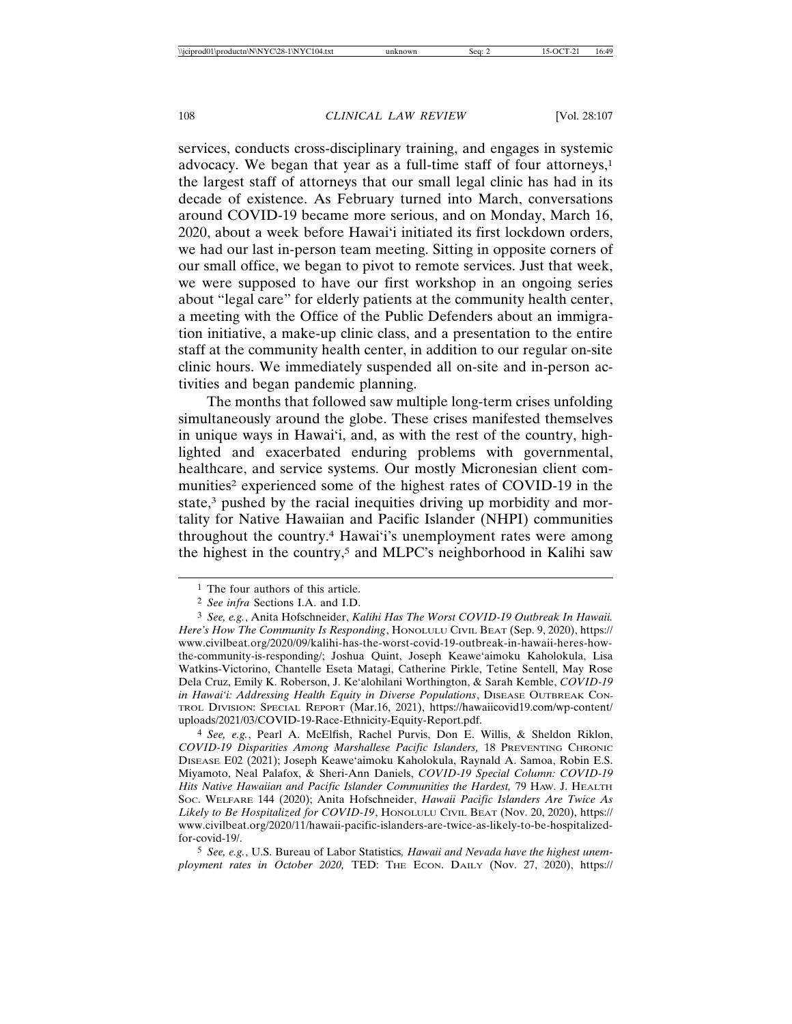services, conducts cross-disciplinary training, and engages in systemic advocacy. We began that year as a full-time staff of four attorneys,<sup>1</sup> the largest staff of attorneys that our small legal clinic has had in its decade of existence. As February turned into March, conversations around COVID-19 became more serious, and on Monday, March 16, 2020, about a week before Hawai'i initiated its first lockdown orders, we had our last in-person team meeting. Sitting in opposite corners of our small office, we began to pivot to remote services. Just that week, we were supposed to have our first workshop in an ongoing series about "legal care" for elderly patients at the community health center, a meeting with the Office of the Public Defenders about an immigration initiative, a make-up clinic class, and a presentation to the entire staff at the community health center, in addition to our regular on-site clinic hours. We immediately suspended all on-site and in-person activities and began pandemic planning.

The months that followed saw multiple long-term crises unfolding simultaneously around the globe. These crises manifested themselves in unique ways in Hawai'i, and, as with the rest of the country, highlighted and exacerbated enduring problems with governmental, healthcare, and service systems. Our mostly Micronesian client communities<sup>2</sup> experienced some of the highest rates of COVID-19 in the state,<sup>3</sup> pushed by the racial inequities driving up morbidity and mortality for Native Hawaiian and Pacific Islander (NHPI) communities throughout the country.4 Hawai'i's unemployment rates were among the highest in the country,<sup>5</sup> and MLPC's neighborhood in Kalihi saw

4 *See, e.g.*, Pearl A. McElfish, Rachel Purvis, Don E. Willis, & Sheldon Riklon, *COVID-19 Disparities Among Marshallese Pacific Islanders,* 18 PREVENTING CHRONIC DISEASE E02 (2021); Joseph Keawe'aimoku Kaholokula, Raynald A. Samoa, Robin E.S. Miyamoto, Neal Palafox, & Sheri-Ann Daniels, *COVID-19 Special Column: COVID-19 Hits Native Hawaiian and Pacific Islander Communities the Hardest,* 79 HAW. J. HEALTH SOC. WELFARE 144 (2020); Anita Hofschneider, *Hawaii Pacific Islanders Are Twice As Likely to Be Hospitalized for COVID-19*, HONOLULU CIVIL BEAT (Nov. 20, 2020), https:// www.civilbeat.org/2020/11/hawaii-pacific-islanders-are-twice-as-likely-to-be-hospitalizedfor-covid-19/.

5 *See, e.g.*, U.S. Bureau of Labor Statistics*, Hawaii and Nevada have the highest unemployment rates in October 2020,* TED: THE ECON. DAILY (Nov. 27, 2020), https://

<sup>1</sup> The four authors of this article.

<sup>2</sup> *See infra* Sections I.A. and I.D.

<sup>3</sup> *See, e.g.*, Anita Hofschneider, *Kalihi Has The Worst COVID-19 Outbreak In Hawaii. Here's How The Community Is Responding*, HONOLULU CIVIL BEAT (Sep. 9, 2020), https:// www.civilbeat.org/2020/09/kalihi-has-the-worst-covid-19-outbreak-in-hawaii-heres-howthe-community-is-responding/; Joshua Quint, Joseph Keawe'aimoku Kaholokula, Lisa Watkins-Victorino, Chantelle Eseta Matagi, Catherine Pirkle, Tetine Sentell, May Rose Dela Cruz, Emily K. Roberson, J. Ke'alohilani Worthington, & Sarah Kemble, *COVID-19 in Hawai'i: Addressing Health Equity in Diverse Populations*, DISEASE OUTBREAK CON-TROL DIVISION: SPECIAL REPORT (Mar.16, 2021), https://hawaiicovid19.com/wp-content/ uploads/2021/03/COVID-19-Race-Ethnicity-Equity-Report.pdf.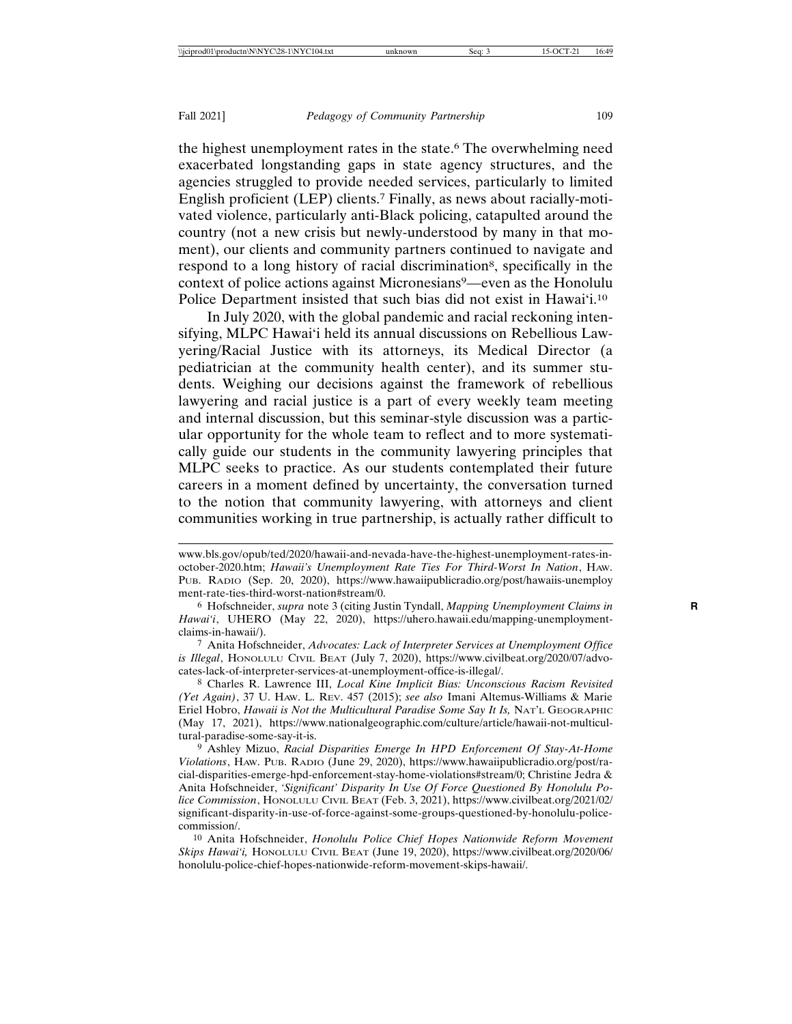the highest unemployment rates in the state.6 The overwhelming need exacerbated longstanding gaps in state agency structures, and the agencies struggled to provide needed services, particularly to limited English proficient (LEP) clients.7 Finally, as news about racially-motivated violence, particularly anti-Black policing, catapulted around the country (not a new crisis but newly-understood by many in that moment), our clients and community partners continued to navigate and respond to a long history of racial discrimination<sup>8</sup>, specifically in the context of police actions against Micronesians<sup>9</sup>—even as the Honolulu Police Department insisted that such bias did not exist in Hawai'i.<sup>10</sup>

In July 2020, with the global pandemic and racial reckoning intensifying, MLPC Hawai'i held its annual discussions on Rebellious Lawyering/Racial Justice with its attorneys, its Medical Director (a pediatrician at the community health center), and its summer students. Weighing our decisions against the framework of rebellious lawyering and racial justice is a part of every weekly team meeting and internal discussion, but this seminar-style discussion was a particular opportunity for the whole team to reflect and to more systematically guide our students in the community lawyering principles that MLPC seeks to practice. As our students contemplated their future careers in a moment defined by uncertainty, the conversation turned to the notion that community lawyering, with attorneys and client communities working in true partnership, is actually rather difficult to

8 Charles R. Lawrence III, *Local Kine Implicit Bias: Unconscious Racism Revisited (Yet Again)*, 37 U. HAW. L. REV. 457 (2015); *see also* Imani Altemus-Williams & Marie Eriel Hobro, *Hawaii is Not the Multicultural Paradise Some Say It Is,* NAT'L GEOGRAPHIC (May 17, 2021), https://www.nationalgeographic.com/culture/article/hawaii-not-multicultural-paradise-some-say-it-is.

9 Ashley Mizuo, *Racial Disparities Emerge In HPD Enforcement Of Stay-At-Home Violations*, HAW. PUB. RADIO (June 29, 2020), https://www.hawaiipublicradio.org/post/racial-disparities-emerge-hpd-enforcement-stay-home-violations#stream/0; Christine Jedra & Anita Hofschneider, *'Significant' Disparity In Use Of Force Questioned By Honolulu Police Commission*, HONOLULU CIVIL BEAT (Feb. 3, 2021), https://www.civilbeat.org/2021/02/ significant-disparity-in-use-of-force-against-some-groups-questioned-by-honolulu-policecommission/.

10 Anita Hofschneider, *Honolulu Police Chief Hopes Nationwide Reform Movement Skips Hawai'i,* HONOLULU CIVIL BEAT (June 19, 2020), https://www.civilbeat.org/2020/06/ honolulu-police-chief-hopes-nationwide-reform-movement-skips-hawaii/.

www.bls.gov/opub/ted/2020/hawaii-and-nevada-have-the-highest-unemployment-rates-inoctober-2020.htm; *Hawaii's Unemployment Rate Ties For Third-Worst In Nation*, HAW. PUB. RADIO (Sep. 20, 2020), https://www.hawaiipublicradio.org/post/hawaiis-unemploy ment-rate-ties-third-worst-nation#stream/0.

<sup>6</sup> Hofschneider, *supra* note 3 (citing Justin Tyndall, *Mapping Unemployment Claims in* **R** *Hawai'i*, UHERO (May 22, 2020), https://uhero.hawaii.edu/mapping-unemploymentclaims-in-hawaii/).

<sup>7</sup> Anita Hofschneider, *Advocates: Lack of Interpreter Services at Unemployment Office is Illegal*, HONOLULU CIVIL BEAT (July 7, 2020), https://www.civilbeat.org/2020/07/advocates-lack-of-interpreter-services-at-unemployment-office-is-illegal/.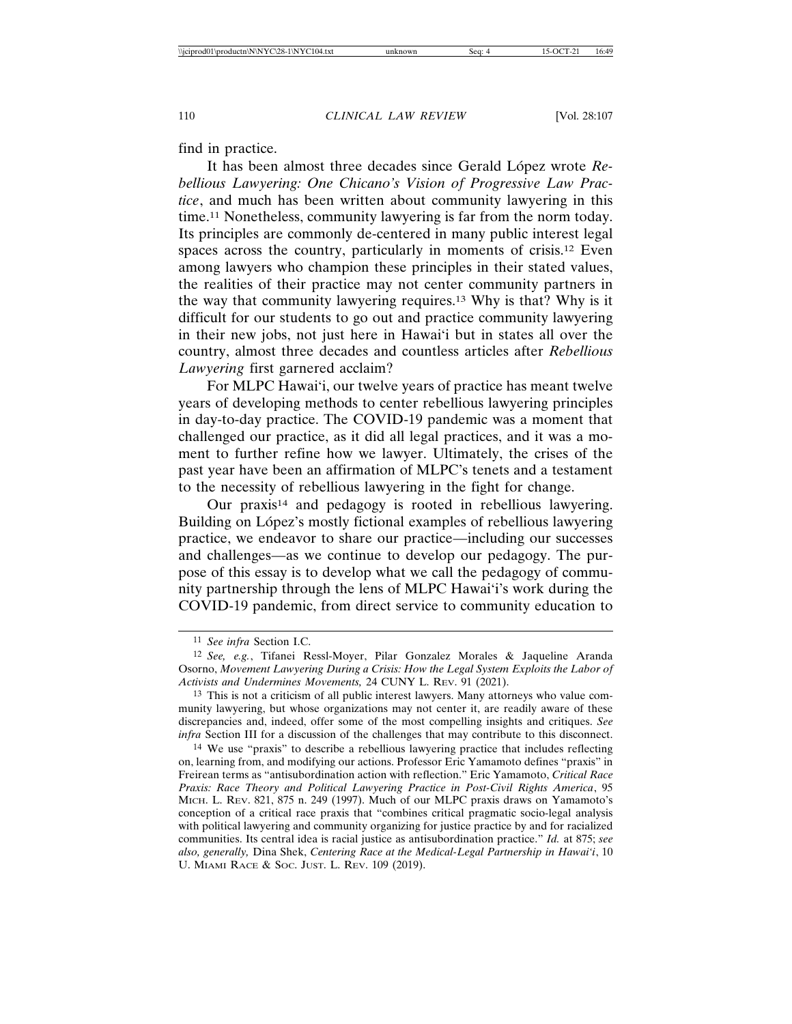find in practice.

It has been almost three decades since Gerald López wrote *Rebellious Lawyering: One Chicano's Vision of Progressive Law Practice*, and much has been written about community lawyering in this time.11 Nonetheless, community lawyering is far from the norm today. Its principles are commonly de-centered in many public interest legal spaces across the country, particularly in moments of crisis.12 Even among lawyers who champion these principles in their stated values, the realities of their practice may not center community partners in the way that community lawyering requires.13 Why is that? Why is it difficult for our students to go out and practice community lawyering in their new jobs, not just here in Hawai'i but in states all over the country, almost three decades and countless articles after *Rebellious Lawyering* first garnered acclaim?

For MLPC Hawai'i, our twelve years of practice has meant twelve years of developing methods to center rebellious lawyering principles in day-to-day practice. The COVID-19 pandemic was a moment that challenged our practice, as it did all legal practices, and it was a moment to further refine how we lawyer. Ultimately, the crises of the past year have been an affirmation of MLPC's tenets and a testament to the necessity of rebellious lawyering in the fight for change.

Our praxis14 and pedagogy is rooted in rebellious lawyering. Building on López's mostly fictional examples of rebellious lawyering practice, we endeavor to share our practice—including our successes and challenges—as we continue to develop our pedagogy. The purpose of this essay is to develop what we call the pedagogy of community partnership through the lens of MLPC Hawai'i's work during the COVID-19 pandemic, from direct service to community education to

<sup>11</sup> *See infra* Section I.C.

<sup>12</sup> *See, e.g.*, Tifanei Ressl-Moyer, Pilar Gonzalez Morales & Jaqueline Aranda Osorno, *Movement Lawyering During a Crisis: How the Legal System Exploits the Labor of Activists and Undermines Movements,* 24 CUNY L. REV. 91 (2021).

<sup>13</sup> This is not a criticism of all public interest lawyers. Many attorneys who value community lawyering, but whose organizations may not center it, are readily aware of these discrepancies and, indeed, offer some of the most compelling insights and critiques. *See infra* Section III for a discussion of the challenges that may contribute to this disconnect.

<sup>14</sup> We use "praxis" to describe a rebellious lawyering practice that includes reflecting on, learning from, and modifying our actions. Professor Eric Yamamoto defines "praxis" in Freirean terms as "antisubordination action with reflection." Eric Yamamoto, *Critical Race Praxis: Race Theory and Political Lawyering Practice in Post-Civil Rights America*, 95 MICH. L. REV. 821, 875 n. 249 (1997). Much of our MLPC praxis draws on Yamamoto's conception of a critical race praxis that "combines critical pragmatic socio-legal analysis with political lawyering and community organizing for justice practice by and for racialized communities. Its central idea is racial justice as antisubordination practice." *Id.* at 875; *see also, generally,* Dina Shek, *Centering Race at the Medical-Legal Partnership in Hawai'i*, 10 U. MIAMI RACE & SOC. JUST. L. REV. 109 (2019).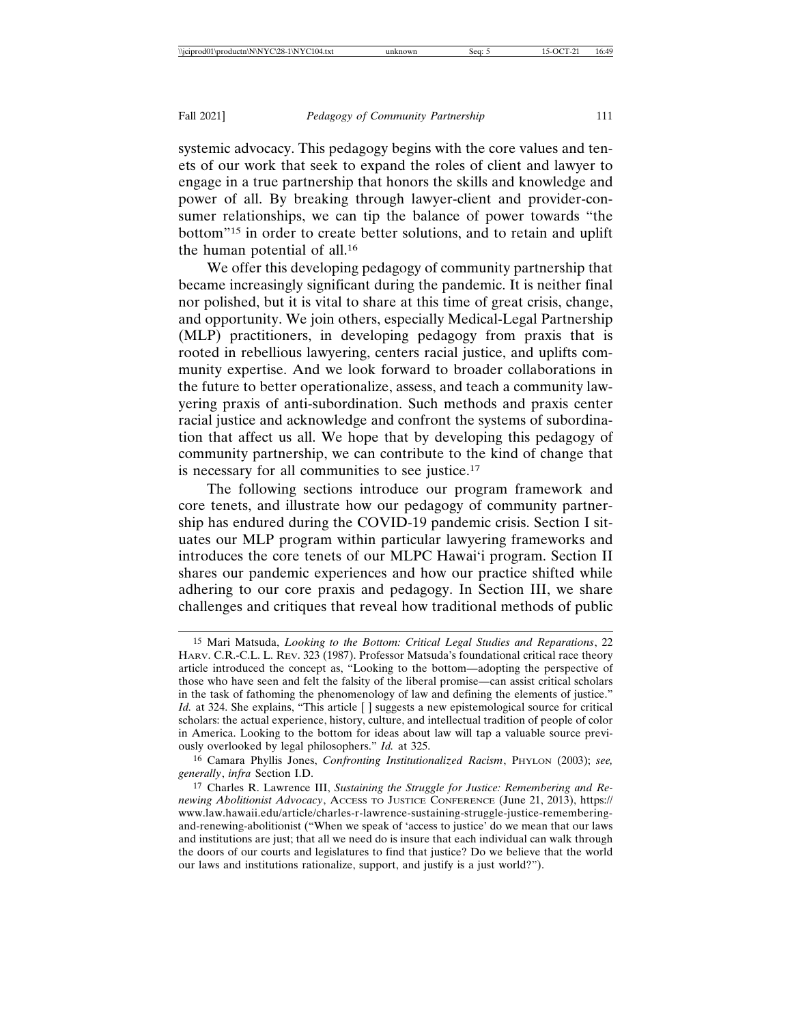systemic advocacy. This pedagogy begins with the core values and tenets of our work that seek to expand the roles of client and lawyer to engage in a true partnership that honors the skills and knowledge and power of all. By breaking through lawyer-client and provider-consumer relationships, we can tip the balance of power towards "the bottom"15 in order to create better solutions, and to retain and uplift the human potential of all.16

We offer this developing pedagogy of community partnership that became increasingly significant during the pandemic. It is neither final nor polished, but it is vital to share at this time of great crisis, change, and opportunity. We join others, especially Medical-Legal Partnership (MLP) practitioners, in developing pedagogy from praxis that is rooted in rebellious lawyering, centers racial justice, and uplifts community expertise. And we look forward to broader collaborations in the future to better operationalize, assess, and teach a community lawyering praxis of anti-subordination. Such methods and praxis center racial justice and acknowledge and confront the systems of subordination that affect us all. We hope that by developing this pedagogy of community partnership, we can contribute to the kind of change that is necessary for all communities to see justice.17

The following sections introduce our program framework and core tenets, and illustrate how our pedagogy of community partnership has endured during the COVID-19 pandemic crisis. Section I situates our MLP program within particular lawyering frameworks and introduces the core tenets of our MLPC Hawai'i program. Section II shares our pandemic experiences and how our practice shifted while adhering to our core praxis and pedagogy. In Section III, we share challenges and critiques that reveal how traditional methods of public

<sup>15</sup> Mari Matsuda, *Looking to the Bottom: Critical Legal Studies and Reparations*, 22 HARV. C.R.-C.L. L. REV. 323 (1987). Professor Matsuda's foundational critical race theory article introduced the concept as, "Looking to the bottom—adopting the perspective of those who have seen and felt the falsity of the liberal promise—can assist critical scholars in the task of fathoming the phenomenology of law and defining the elements of justice." Id. at 324. She explains, "This article [ ] suggests a new epistemological source for critical scholars: the actual experience, history, culture, and intellectual tradition of people of color in America. Looking to the bottom for ideas about law will tap a valuable source previously overlooked by legal philosophers." *Id.* at 325.

<sup>16</sup> Camara Phyllis Jones, *Confronting Institutionalized Racism*, PHYLON (2003); *see, generally*, *infra* Section I.D.

<sup>17</sup> Charles R. Lawrence III, *Sustaining the Struggle for Justice: Remembering and Renewing Abolitionist Advocacy*, ACCESS TO JUSTICE CONFERENCE (June 21, 2013), https:// www.law.hawaii.edu/article/charles-r-lawrence-sustaining-struggle-justice-rememberingand-renewing-abolitionist ("When we speak of 'access to justice' do we mean that our laws and institutions are just; that all we need do is insure that each individual can walk through the doors of our courts and legislatures to find that justice? Do we believe that the world our laws and institutions rationalize, support, and justify is a just world?").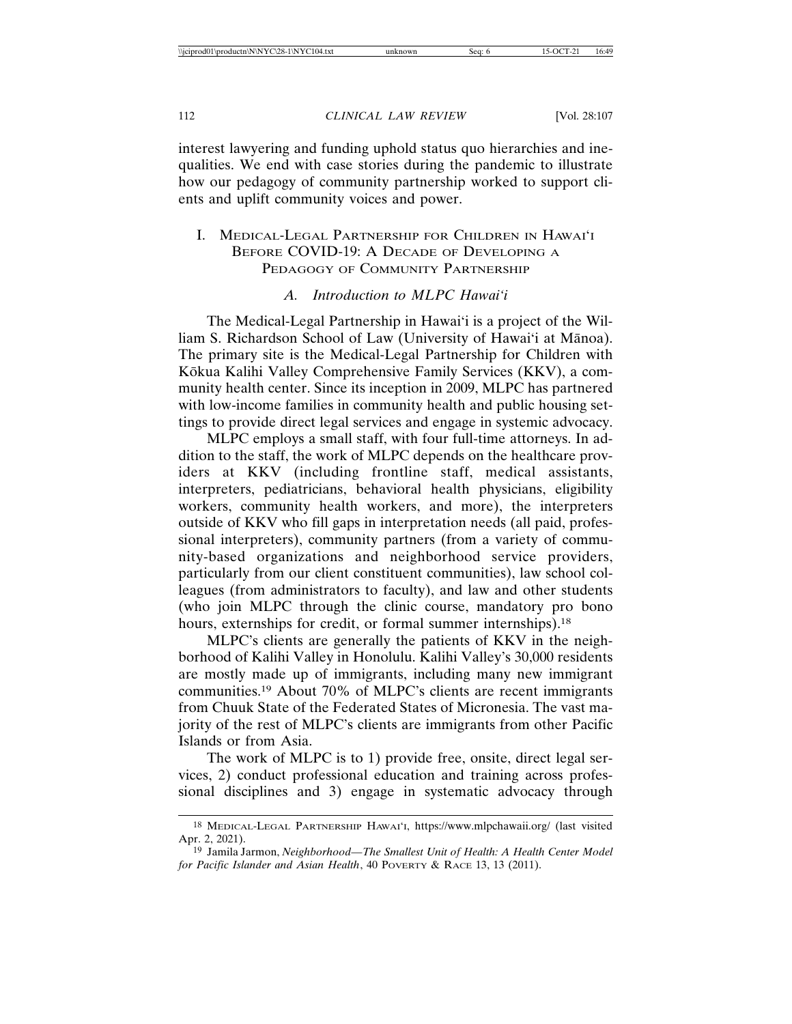interest lawyering and funding uphold status quo hierarchies and inequalities. We end with case stories during the pandemic to illustrate how our pedagogy of community partnership worked to support clients and uplift community voices and power.

## I. MEDICAL-LEGAL PARTNERSHIP FOR CHILDREN IN HAWAI'I BEFORE COVID-19: A DECADE OF DEVELOPING A PEDAGOGY OF COMMUNITY PARTNERSHIP

## *A. Introduction to MLPC Hawai'i*

The Medical-Legal Partnership in Hawai'i is a project of the William S. Richardson School of Law (University of Hawai'i at Mānoa). The primary site is the Medical-Legal Partnership for Children with Kōkua Kalihi Valley Comprehensive Family Services (KKV), a community health center. Since its inception in 2009, MLPC has partnered with low-income families in community health and public housing settings to provide direct legal services and engage in systemic advocacy.

MLPC employs a small staff, with four full-time attorneys. In addition to the staff, the work of MLPC depends on the healthcare providers at KKV (including frontline staff, medical assistants, interpreters, pediatricians, behavioral health physicians, eligibility workers, community health workers, and more), the interpreters outside of KKV who fill gaps in interpretation needs (all paid, professional interpreters), community partners (from a variety of community-based organizations and neighborhood service providers, particularly from our client constituent communities), law school colleagues (from administrators to faculty), and law and other students (who join MLPC through the clinic course, mandatory pro bono hours, externships for credit, or formal summer internships).<sup>18</sup>

MLPC's clients are generally the patients of KKV in the neighborhood of Kalihi Valley in Honolulu. Kalihi Valley's 30,000 residents are mostly made up of immigrants, including many new immigrant communities.19 About 70% of MLPC's clients are recent immigrants from Chuuk State of the Federated States of Micronesia. The vast majority of the rest of MLPC's clients are immigrants from other Pacific Islands or from Asia.

The work of MLPC is to 1) provide free, onsite, direct legal services, 2) conduct professional education and training across professional disciplines and 3) engage in systematic advocacy through

<sup>18</sup> MEDICAL-LEGAL PARTNERSHIP HAWAI'I, https://www.mlpchawaii.org/ (last visited Apr. 2, 2021).

<sup>19</sup> Jamila Jarmon, *Neighborhood—The Smallest Unit of Health: A Health Center Model for Pacific Islander and Asian Health*, 40 POVERTY & RACE 13, 13 (2011).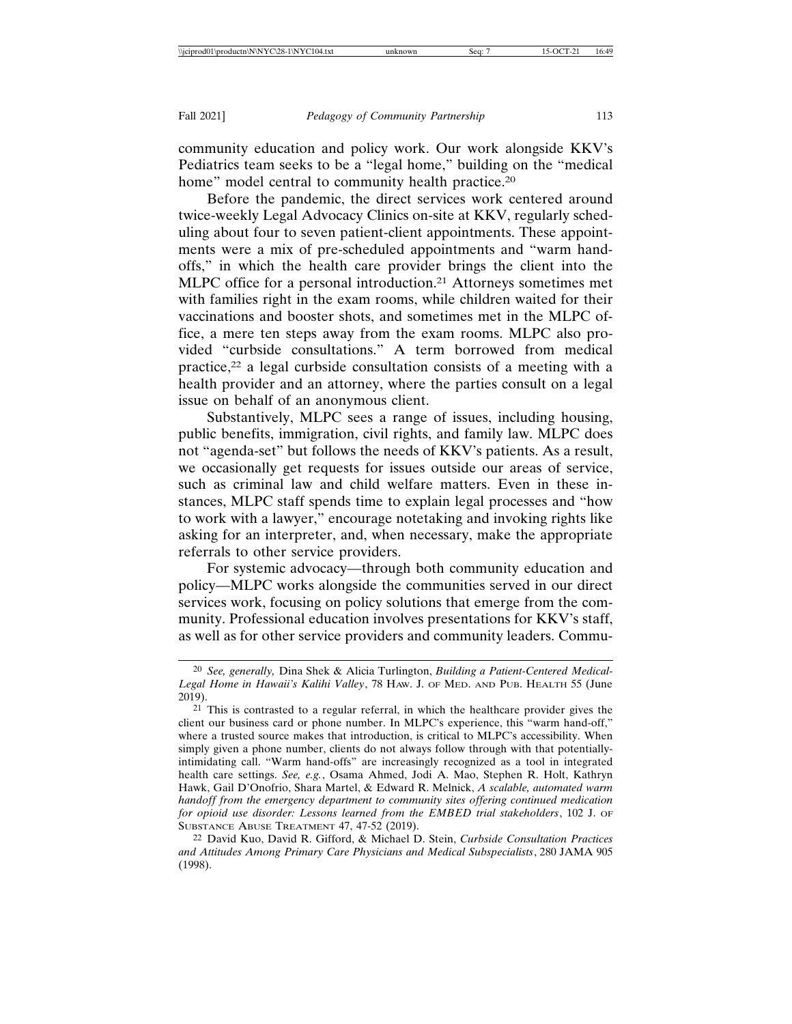community education and policy work. Our work alongside KKV's Pediatrics team seeks to be a "legal home," building on the "medical home" model central to community health practice.<sup>20</sup>

Before the pandemic, the direct services work centered around twice-weekly Legal Advocacy Clinics on-site at KKV, regularly scheduling about four to seven patient-client appointments. These appointments were a mix of pre-scheduled appointments and "warm handoffs," in which the health care provider brings the client into the MLPC office for a personal introduction.21 Attorneys sometimes met with families right in the exam rooms, while children waited for their vaccinations and booster shots, and sometimes met in the MLPC office, a mere ten steps away from the exam rooms. MLPC also provided "curbside consultations." A term borrowed from medical practice,22 a legal curbside consultation consists of a meeting with a health provider and an attorney, where the parties consult on a legal issue on behalf of an anonymous client.

Substantively, MLPC sees a range of issues, including housing, public benefits, immigration, civil rights, and family law. MLPC does not "agenda-set" but follows the needs of KKV's patients. As a result, we occasionally get requests for issues outside our areas of service, such as criminal law and child welfare matters. Even in these instances, MLPC staff spends time to explain legal processes and "how to work with a lawyer," encourage notetaking and invoking rights like asking for an interpreter, and, when necessary, make the appropriate referrals to other service providers.

For systemic advocacy—through both community education and policy—MLPC works alongside the communities served in our direct services work, focusing on policy solutions that emerge from the community. Professional education involves presentations for KKV's staff, as well as for other service providers and community leaders. Commu-

22 David Kuo, David R. Gifford, & Michael D. Stein, *Curbside Consultation Practices and Attitudes Among Primary Care Physicians and Medical Subspecialists*, 280 JAMA 905 (1998).

<sup>20</sup> *See, generally,* Dina Shek & Alicia Turlington, *Building a Patient-Centered Medical-Legal Home in Hawaii's Kalihi Valley*, 78 HAW. J. OF MED. AND PUB. HEALTH 55 (June 2019).

 $21$  This is contrasted to a regular referral, in which the healthcare provider gives the client our business card or phone number. In MLPC's experience, this "warm hand-off," where a trusted source makes that introduction, is critical to MLPC's accessibility. When simply given a phone number, clients do not always follow through with that potentiallyintimidating call. "Warm hand-offs" are increasingly recognized as a tool in integrated health care settings. *See, e.g.*, Osama Ahmed, Jodi A. Mao, Stephen R. Holt, Kathryn Hawk, Gail D'Onofrio, Shara Martel, & Edward R. Melnick, *A scalable, automated warm handoff from the emergency department to community sites offering continued medication for opioid use disorder: Lessons learned from the EMBED trial stakeholders*, 102 J. OF SUBSTANCE ABUSE TREATMENT 47, 47-52 (2019).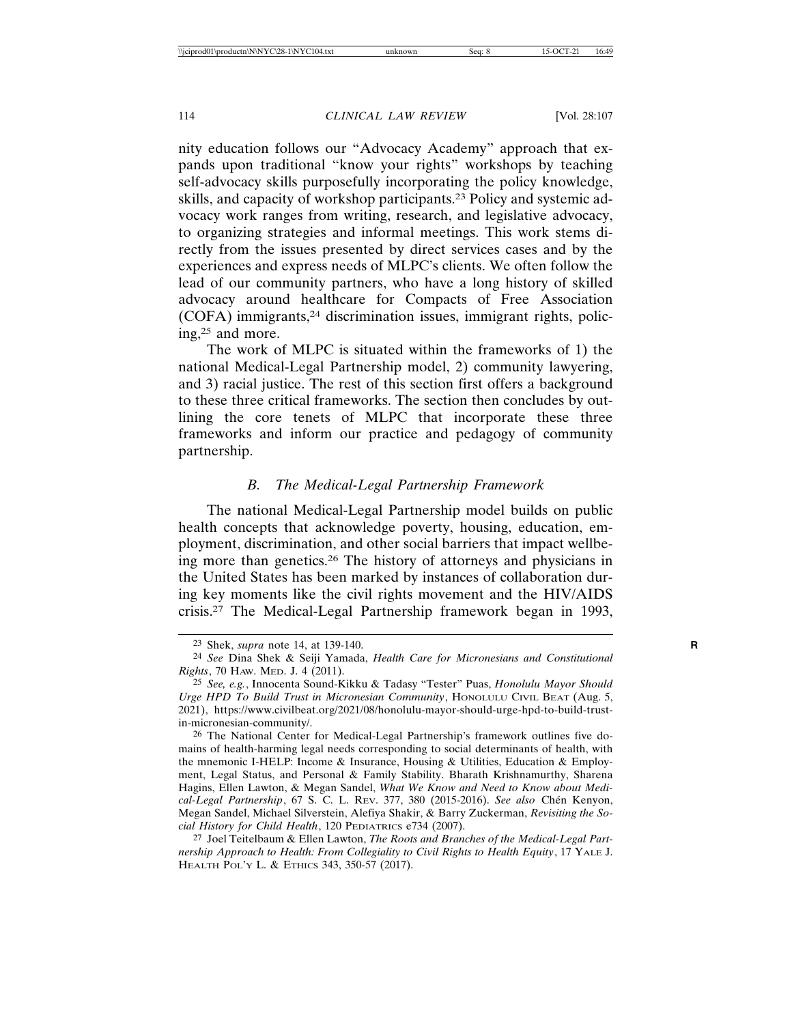nity education follows our "Advocacy Academy" approach that expands upon traditional "know your rights" workshops by teaching self-advocacy skills purposefully incorporating the policy knowledge, skills, and capacity of workshop participants.23 Policy and systemic advocacy work ranges from writing, research, and legislative advocacy, to organizing strategies and informal meetings. This work stems directly from the issues presented by direct services cases and by the experiences and express needs of MLPC's clients. We often follow the lead of our community partners, who have a long history of skilled advocacy around healthcare for Compacts of Free Association (COFA) immigrants,24 discrimination issues, immigrant rights, policing,25 and more.

The work of MLPC is situated within the frameworks of 1) the national Medical-Legal Partnership model, 2) community lawyering, and 3) racial justice. The rest of this section first offers a background to these three critical frameworks. The section then concludes by outlining the core tenets of MLPC that incorporate these three frameworks and inform our practice and pedagogy of community partnership.

### *B. The Medical-Legal Partnership Framework*

The national Medical-Legal Partnership model builds on public health concepts that acknowledge poverty, housing, education, employment, discrimination, and other social barriers that impact wellbeing more than genetics.26 The history of attorneys and physicians in the United States has been marked by instances of collaboration during key moments like the civil rights movement and the HIV/AIDS crisis.27 The Medical-Legal Partnership framework began in 1993,

<sup>23</sup> Shek, *supra* note 14, at 139-140. **R**

<sup>24</sup> *See* Dina Shek & Seiji Yamada, *Health Care for Micronesians and Constitutional Rights*, 70 HAW. MED. J. 4 (2011).

<sup>25</sup> *See, e.g.*, Innocenta Sound-Kikku & Tadasy "Tester" Puas, *Honolulu Mayor Should Urge HPD To Build Trust in Micronesian Community*, HONOLULU CIVIL BEAT (Aug. 5, 2021), https://www.civilbeat.org/2021/08/honolulu-mayor-should-urge-hpd-to-build-trustin-micronesian-community/.

<sup>26</sup> The National Center for Medical-Legal Partnership's framework outlines five domains of health-harming legal needs corresponding to social determinants of health, with the mnemonic I-HELP: Income & Insurance, Housing & Utilities, Education & Employment, Legal Status, and Personal & Family Stability. Bharath Krishnamurthy, Sharena Hagins, Ellen Lawton, & Megan Sandel, *What We Know and Need to Know about Medical-Legal Partnership*, 67 S. C. L. REV. 377, 380 (2015-2016). *See also* Chén Kenyon, Megan Sandel, Michael Silverstein, Alefiya Shakir, & Barry Zuckerman, *Revisiting the Social History for Child Health*, 120 PEDIATRICS e734 (2007).

<sup>27</sup> Joel Teitelbaum & Ellen Lawton, *The Roots and Branches of the Medical-Legal Partnership Approach to Health: From Collegiality to Civil Rights to Health Equity*, 17 YALE J. HEALTH POL'Y L. & ETHICS 343, 350-57 (2017).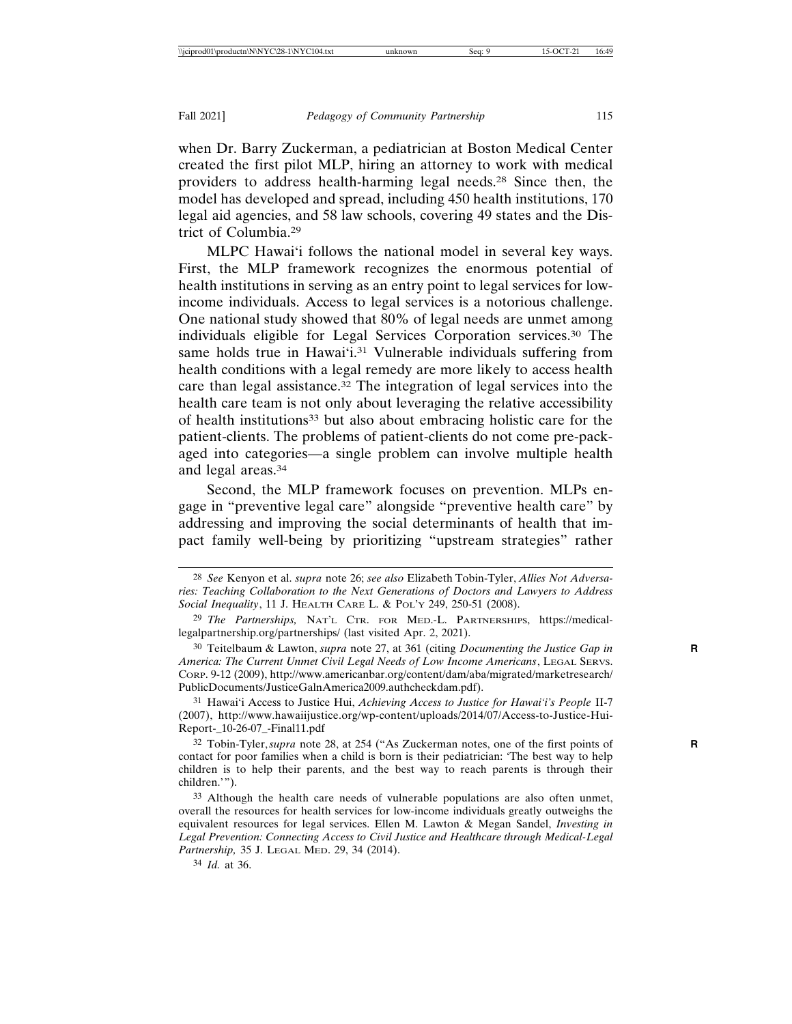when Dr. Barry Zuckerman, a pediatrician at Boston Medical Center created the first pilot MLP, hiring an attorney to work with medical providers to address health-harming legal needs.28 Since then, the model has developed and spread, including 450 health institutions, 170 legal aid agencies, and 58 law schools, covering 49 states and the District of Columbia.29

MLPC Hawai'i follows the national model in several key ways. First, the MLP framework recognizes the enormous potential of health institutions in serving as an entry point to legal services for lowincome individuals. Access to legal services is a notorious challenge. One national study showed that 80% of legal needs are unmet among individuals eligible for Legal Services Corporation services.30 The same holds true in Hawai'i.<sup>31</sup> Vulnerable individuals suffering from health conditions with a legal remedy are more likely to access health care than legal assistance.32 The integration of legal services into the health care team is not only about leveraging the relative accessibility of health institutions33 but also about embracing holistic care for the patient-clients. The problems of patient-clients do not come pre-packaged into categories—a single problem can involve multiple health and legal areas.34

Second, the MLP framework focuses on prevention. MLPs engage in "preventive legal care" alongside "preventive health care" by addressing and improving the social determinants of health that impact family well-being by prioritizing "upstream strategies" rather

31 Hawai'i Access to Justice Hui, *Achieving Access to Justice for Hawai'i's People* II-7 (2007), http://www.hawaiijustice.org/wp-content/uploads/2014/07/Access-to-Justice-Hui-Report-\_10-26-07\_-Final11.pdf

<sup>28</sup> *See* Kenyon et al. *supra* note 26; *see also* Elizabeth Tobin-Tyler, *Allies Not Adversaries: Teaching Collaboration to the Next Generations of Doctors and Lawyers to Address Social Inequality*, 11 J. HEALTH CARE L. & POL'Y 249, 250-51 (2008).

<sup>29</sup> *The Partnerships,* NAT'L CTR. FOR MED.-L. PARTNERSHIPS, https://medicallegalpartnership.org/partnerships/ (last visited Apr. 2, 2021).

<sup>30</sup> Teitelbaum & Lawton, *supra* note 27, at 361 (citing *Documenting the Justice Gap in* **R** *America: The Current Unmet Civil Legal Needs of Low Income Americans*, LEGAL SERVS. CORP. 9-12 (2009), http://www.americanbar.org/content/dam/aba/migrated/marketresearch/ PublicDocuments/JusticeGalnAmerica2009.authcheckdam.pdf).

<sup>32</sup> Tobin-Tyler, *supra* note 28, at 254 ("As Zuckerman notes, one of the first points of **R** contact for poor families when a child is born is their pediatrician: 'The best way to help children is to help their parents, and the best way to reach parents is through their children.'").

<sup>33</sup> Although the health care needs of vulnerable populations are also often unmet, overall the resources for health services for low-income individuals greatly outweighs the equivalent resources for legal services. Ellen M. Lawton & Megan Sandel, *Investing in Legal Prevention: Connecting Access to Civil Justice and Healthcare through Medical-Legal Partnership,* 35 J. LEGAL MED. 29, 34 (2014).

<sup>34</sup> *Id.* at 36.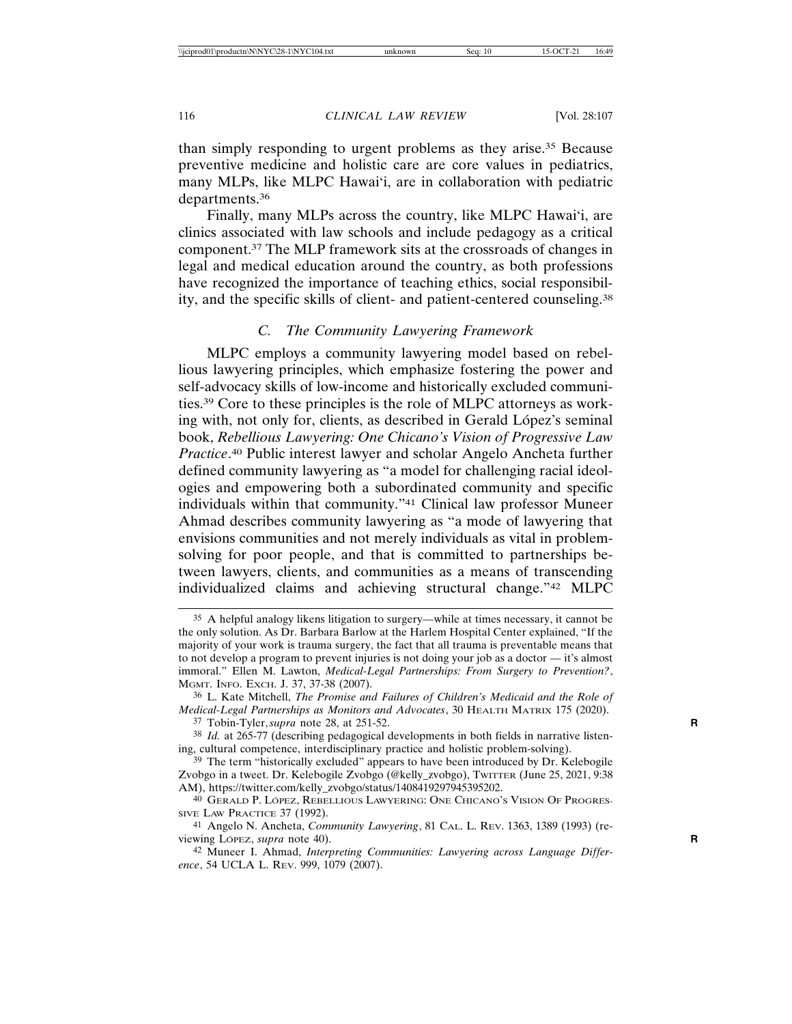than simply responding to urgent problems as they arise.35 Because preventive medicine and holistic care are core values in pediatrics, many MLPs, like MLPC Hawai'i, are in collaboration with pediatric departments.36

Finally, many MLPs across the country, like MLPC Hawai'i, are clinics associated with law schools and include pedagogy as a critical component.37 The MLP framework sits at the crossroads of changes in legal and medical education around the country, as both professions have recognized the importance of teaching ethics, social responsibility, and the specific skills of client- and patient-centered counseling.38

### *C. The Community Lawyering Framework*

MLPC employs a community lawyering model based on rebellious lawyering principles, which emphasize fostering the power and self-advocacy skills of low-income and historically excluded communities.39 Core to these principles is the role of MLPC attorneys as working with, not only for, clients, as described in Gerald López's seminal book, *Rebellious Lawyering: One Chicano's Vision of Progressive Law Practice*. 40 Public interest lawyer and scholar Angelo Ancheta further defined community lawyering as "a model for challenging racial ideologies and empowering both a subordinated community and specific individuals within that community."41 Clinical law professor Muneer Ahmad describes community lawyering as "a mode of lawyering that envisions communities and not merely individuals as vital in problemsolving for poor people, and that is committed to partnerships between lawyers, clients, and communities as a means of transcending individualized claims and achieving structural change."42 MLPC

<sup>35</sup> A helpful analogy likens litigation to surgery—while at times necessary, it cannot be the only solution. As Dr. Barbara Barlow at the Harlem Hospital Center explained, "If the majority of your work is trauma surgery, the fact that all trauma is preventable means that to not develop a program to prevent injuries is not doing your job as a doctor — it's almost immoral." Ellen M. Lawton, *Medical-Legal Partnerships: From Surgery to Prevention?*, MGMT. INFO. EXCH. J. 37, 37-38 (2007).

<sup>36</sup> L. Kate Mitchell, *The Promise and Failures of Children's Medicaid and the Role of Medical-Legal Partnerships as Monitors and Advocates*, 30 HEALTH MATRIX 175 (2020).

<sup>37</sup> Tobin-Tyler, *supra* note 28, at 251-52. **R**

<sup>38</sup> *Id.* at 265-77 (describing pedagogical developments in both fields in narrative listening, cultural competence, interdisciplinary practice and holistic problem-solving).

<sup>&</sup>lt;sup>39</sup> The term "historically excluded" appears to have been introduced by Dr. Kelebogile Zvobgo in a tweet. Dr. Kelebogile Zvobgo (@kelly\_zvobgo), TWITTER (June 25, 2021, 9:38 AM), https://twitter.com/kelly\_zvobgo/status/1408419297945395202.

<sup>&</sup>lt;sup>40</sup> GERALD P. LÓPEZ, REBELLIOUS LAWYERING: ONE CHICANO'S VISION OF PROGRES-SIVE LAW PRACTICE 37 (1992).

<sup>41</sup> Angelo N. Ancheta, *Community Lawyering*, 81 CAL. L. REV. 1363, 1389 (1993) (reviewing LOPEZ, *supra* note 40). **R** 

<sup>42</sup> Muneer I. Ahmad, *Interpreting Communities: Lawyering across Language Difference*, 54 UCLA L. REV. 999, 1079 (2007).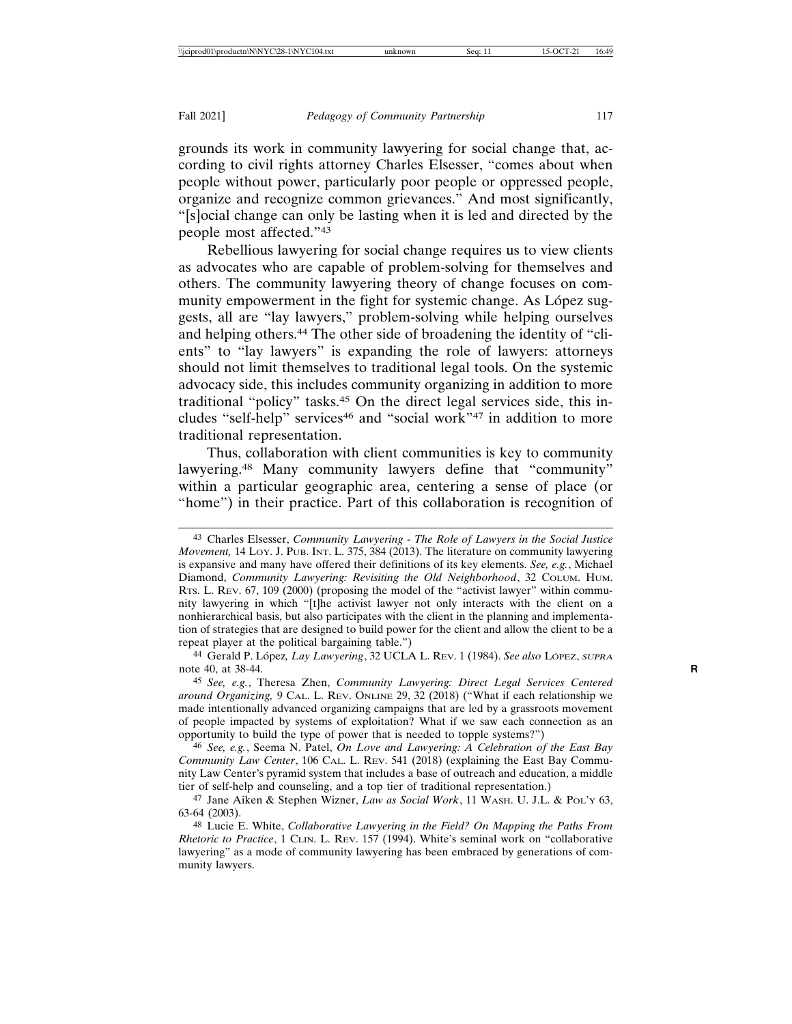grounds its work in community lawyering for social change that, according to civil rights attorney Charles Elsesser, "comes about when people without power, particularly poor people or oppressed people, organize and recognize common grievances." And most significantly, "[s]ocial change can only be lasting when it is led and directed by the people most affected."43

Rebellious lawyering for social change requires us to view clients as advocates who are capable of problem-solving for themselves and others. The community lawyering theory of change focuses on community empowerment in the fight for systemic change. As López suggests, all are "lay lawyers," problem-solving while helping ourselves and helping others.44 The other side of broadening the identity of "clients" to "lay lawyers" is expanding the role of lawyers: attorneys should not limit themselves to traditional legal tools. On the systemic advocacy side, this includes community organizing in addition to more traditional "policy" tasks.45 On the direct legal services side, this includes "self-help" services<sup>46</sup> and "social work"<sup>47</sup> in addition to more traditional representation.

Thus, collaboration with client communities is key to community lawyering.48 Many community lawyers define that "community" within a particular geographic area, centering a sense of place (or "home") in their practice. Part of this collaboration is recognition of

<sup>43</sup> Charles Elsesser, *Community Lawyering - The Role of Lawyers in the Social Justice Movement,* 14 LOY. J. PUB. INT. L. 375, 384 (2013). The literature on community lawyering is expansive and many have offered their definitions of its key elements. *See, e.g.*, Michael Diamond, *Community Lawyering: Revisiting the Old Neighborhood*, 32 COLUM. HUM. RTS. L. REV. 67, 109 (2000) (proposing the model of the "activist lawyer" within community lawyering in which "[t]he activist lawyer not only interacts with the client on a nonhierarchical basis, but also participates with the client in the planning and implementation of strategies that are designed to build power for the client and allow the client to be a repeat player at the political bargaining table.")

<sup>&</sup>lt;sup>44</sup> Gerald P. López, *Lay Lawyering*, 32 UCLA L. REV. 1 (1984). *See also* López, *supra* note 40, at 38-44. **R**

<sup>45</sup> *See, e.g.*, Theresa Zhen, *Community Lawyering: Direct Legal Services Centered around Organizing,* 9 CAL. L. REV. ONLINE 29, 32 (2018) ("What if each relationship we made intentionally advanced organizing campaigns that are led by a grassroots movement of people impacted by systems of exploitation? What if we saw each connection as an opportunity to build the type of power that is needed to topple systems?")

<sup>46</sup> *See, e.g.*, Seema N. Patel, *On Love and Lawyering: A Celebration of the East Bay Community Law Center*, 106 CAL. L. REV. 541 (2018) (explaining the East Bay Community Law Center's pyramid system that includes a base of outreach and education, a middle tier of self-help and counseling, and a top tier of traditional representation.)

<sup>47</sup> Jane Aiken & Stephen Wizner, *Law as Social Work*, 11 WASH. U. J.L. & POL'Y 63, 63-64 (2003).

<sup>48</sup> Lucie E. White, *Collaborative Lawyering in the Field? On Mapping the Paths From Rhetoric to Practice*, 1 CLIN. L. REV. 157 (1994). White's seminal work on "collaborative lawyering" as a mode of community lawyering has been embraced by generations of community lawyers.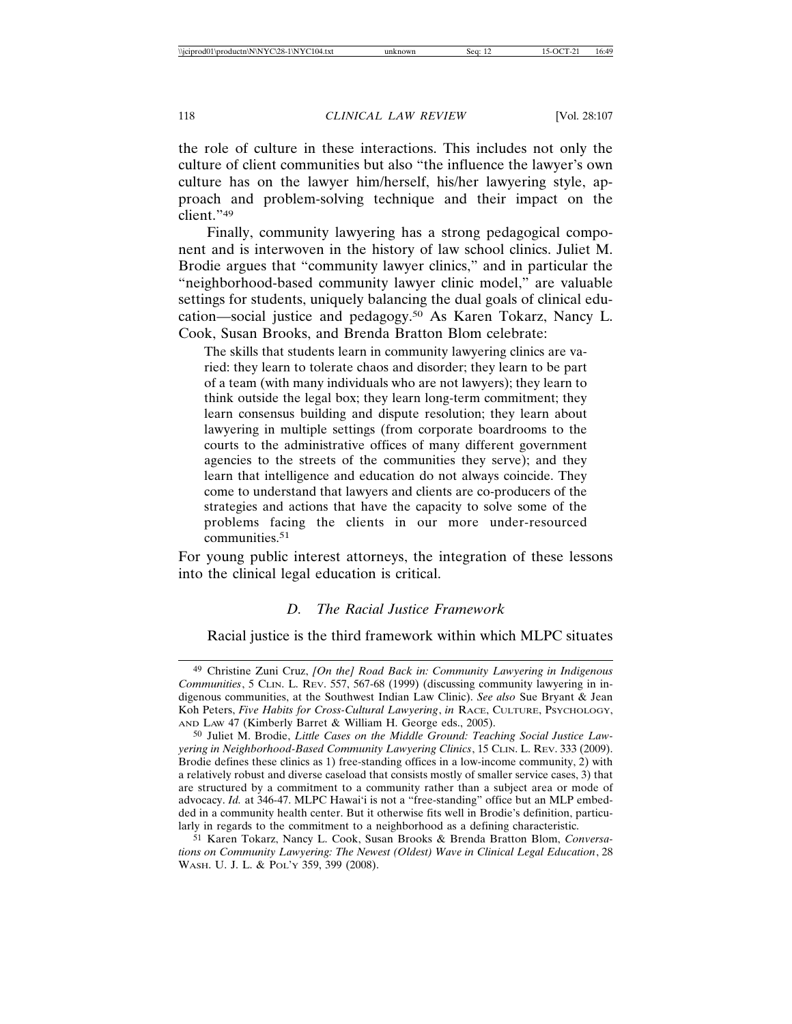the role of culture in these interactions. This includes not only the culture of client communities but also "the influence the lawyer's own culture has on the lawyer him/herself, his/her lawyering style, approach and problem-solving technique and their impact on the client."49

Finally, community lawyering has a strong pedagogical component and is interwoven in the history of law school clinics. Juliet M. Brodie argues that "community lawyer clinics," and in particular the "neighborhood-based community lawyer clinic model," are valuable settings for students, uniquely balancing the dual goals of clinical education—social justice and pedagogy.50 As Karen Tokarz, Nancy L. Cook, Susan Brooks, and Brenda Bratton Blom celebrate:

The skills that students learn in community lawyering clinics are varied: they learn to tolerate chaos and disorder; they learn to be part of a team (with many individuals who are not lawyers); they learn to think outside the legal box; they learn long-term commitment; they learn consensus building and dispute resolution; they learn about lawyering in multiple settings (from corporate boardrooms to the courts to the administrative offices of many different government agencies to the streets of the communities they serve); and they learn that intelligence and education do not always coincide. They come to understand that lawyers and clients are co-producers of the strategies and actions that have the capacity to solve some of the problems facing the clients in our more under-resourced communities.<sup>51</sup>

For young public interest attorneys, the integration of these lessons into the clinical legal education is critical.

## *D. The Racial Justice Framework*

Racial justice is the third framework within which MLPC situates

<sup>49</sup> Christine Zuni Cruz, *[On the] Road Back in: Community Lawyering in Indigenous Communities*, 5 CLIN. L. REV. 557, 567-68 (1999) (discussing community lawyering in indigenous communities, at the Southwest Indian Law Clinic). *See also* Sue Bryant & Jean Koh Peters, *Five Habits for Cross-Cultural Lawyering*, *in* RACE, CULTURE, PSYCHOLOGY, AND LAW 47 (Kimberly Barret & William H. George eds., 2005).

<sup>50</sup> Juliet M. Brodie, *Little Cases on the Middle Ground: Teaching Social Justice Lawyering in Neighborhood-Based Community Lawyering Clinics*, 15 CLIN. L. REV. 333 (2009). Brodie defines these clinics as 1) free-standing offices in a low-income community, 2) with a relatively robust and diverse caseload that consists mostly of smaller service cases, 3) that are structured by a commitment to a community rather than a subject area or mode of advocacy. *Id.* at 346-47. MLPC Hawai'i is not a "free-standing" office but an MLP embedded in a community health center. But it otherwise fits well in Brodie's definition, particularly in regards to the commitment to a neighborhood as a defining characteristic.

<sup>51</sup> Karen Tokarz, Nancy L. Cook, Susan Brooks & Brenda Bratton Blom, *Conversations on Community Lawyering: The Newest (Oldest) Wave in Clinical Legal Education*, 28 WASH. U. J. L. & POL'Y 359, 399 (2008).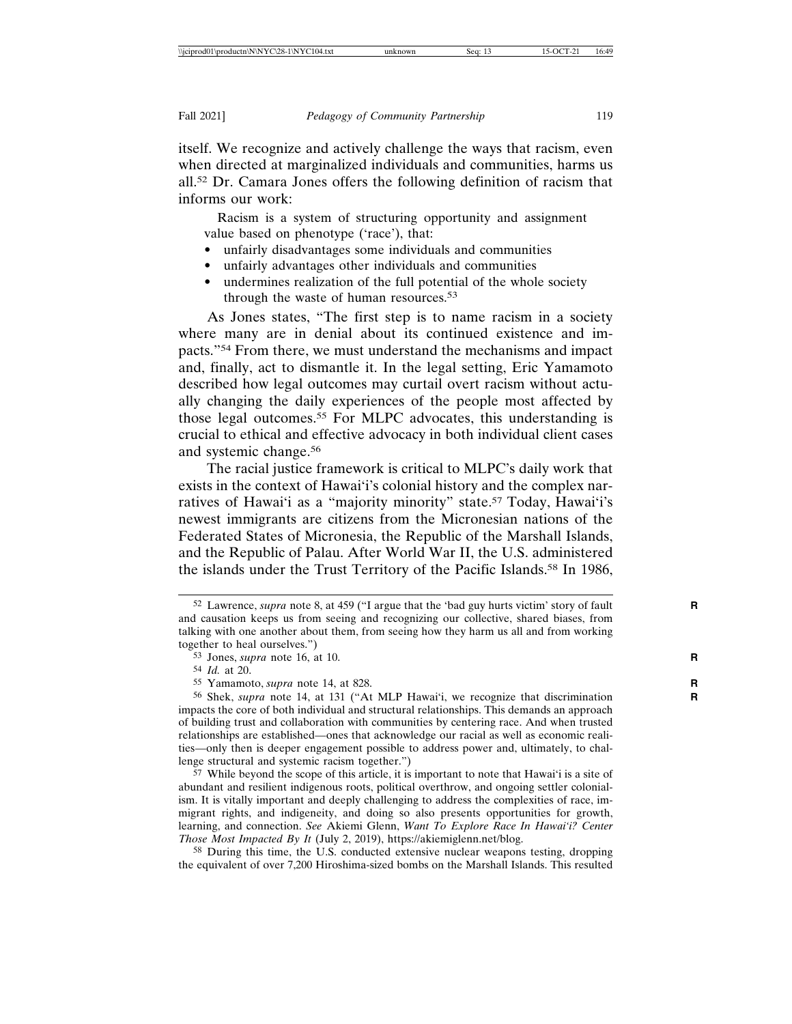itself. We recognize and actively challenge the ways that racism, even when directed at marginalized individuals and communities, harms us all.52 Dr. Camara Jones offers the following definition of racism that informs our work:

Racism is a system of structuring opportunity and assignment value based on phenotype ('race'), that:

- unfairly disadvantages some individuals and communities
- unfairly advantages other individuals and communities
- undermines realization of the full potential of the whole society through the waste of human resources.53

As Jones states, "The first step is to name racism in a society where many are in denial about its continued existence and impacts."54 From there, we must understand the mechanisms and impact and, finally, act to dismantle it. In the legal setting, Eric Yamamoto described how legal outcomes may curtail overt racism without actually changing the daily experiences of the people most affected by those legal outcomes.55 For MLPC advocates, this understanding is crucial to ethical and effective advocacy in both individual client cases and systemic change.56

The racial justice framework is critical to MLPC's daily work that exists in the context of Hawai'i's colonial history and the complex narratives of Hawai'i as a "majority minority" state.<sup>57</sup> Today, Hawai'i's newest immigrants are citizens from the Micronesian nations of the Federated States of Micronesia, the Republic of the Marshall Islands, and the Republic of Palau. After World War II, the U.S. administered the islands under the Trust Territory of the Pacific Islands.58 In 1986,

54 *Id.* at 20.

56 Shek, *supra* note 14, at 131 ("At MLP Hawai'i, we recognize that discrimination **R** impacts the core of both individual and structural relationships. This demands an approach of building trust and collaboration with communities by centering race. And when trusted relationships are established—ones that acknowledge our racial as well as economic realities—only then is deeper engagement possible to address power and, ultimately, to challenge structural and systemic racism together.")

57 While beyond the scope of this article, it is important to note that Hawai'i is a site of abundant and resilient indigenous roots, political overthrow, and ongoing settler colonialism. It is vitally important and deeply challenging to address the complexities of race, immigrant rights, and indigeneity, and doing so also presents opportunities for growth, learning, and connection. *See* Akiemi Glenn, *Want To Explore Race In Hawai'i? Center Those Most Impacted By It* (July 2, 2019), https://akiemiglenn.net/blog.

58 During this time, the U.S. conducted extensive nuclear weapons testing, dropping the equivalent of over 7,200 Hiroshima-sized bombs on the Marshall Islands. This resulted

<sup>52</sup> Lawrence, *supra* note 8, at 459 ("I argue that the 'bad guy hurts victim' story of fault **R** and causation keeps us from seeing and recognizing our collective, shared biases, from talking with one another about them, from seeing how they harm us all and from working together to heal ourselves.")

<sup>53</sup> Jones, *supra* note 16, at 10. **R**

<sup>55</sup> Yamamoto, *supra* note 14, at 828. **R**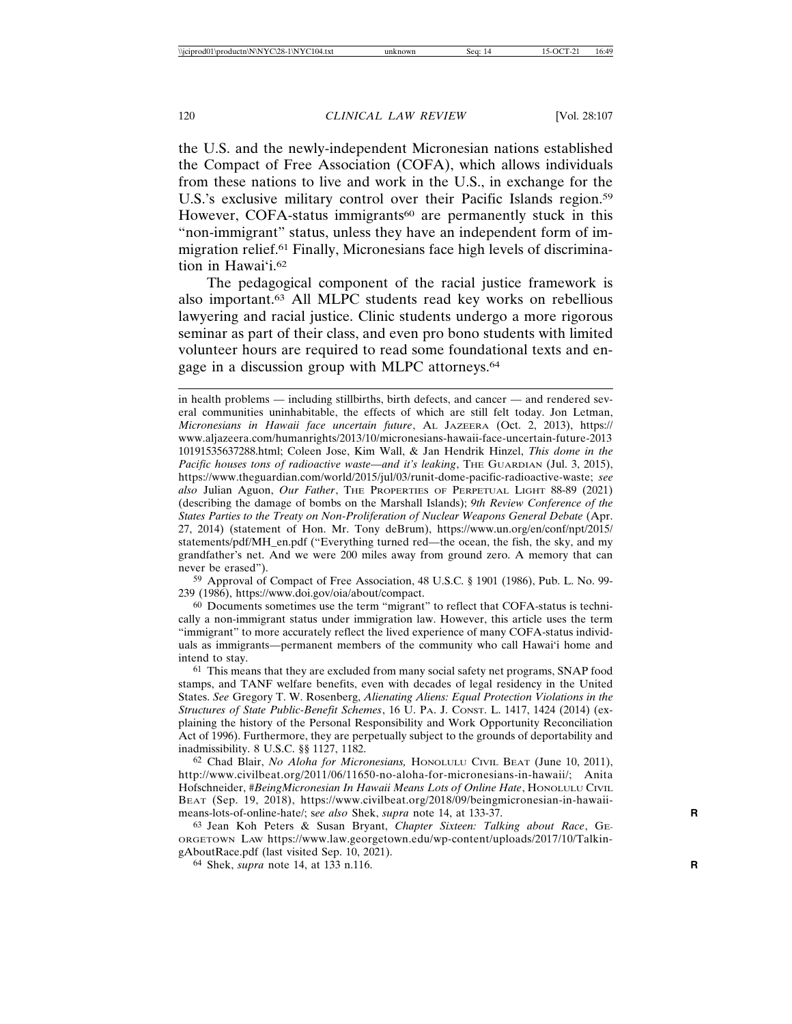the U.S. and the newly-independent Micronesian nations established the Compact of Free Association (COFA), which allows individuals from these nations to live and work in the U.S., in exchange for the U.S.'s exclusive military control over their Pacific Islands region.<sup>59</sup> However, COFA-status immigrants<sup>60</sup> are permanently stuck in this "non-immigrant" status, unless they have an independent form of immigration relief.61 Finally, Micronesians face high levels of discrimination in Hawai'i.62

The pedagogical component of the racial justice framework is also important.63 All MLPC students read key works on rebellious lawyering and racial justice. Clinic students undergo a more rigorous seminar as part of their class, and even pro bono students with limited volunteer hours are required to read some foundational texts and engage in a discussion group with MLPC attorneys.64

59 Approval of Compact of Free Association, 48 U.S.C. § 1901 (1986), Pub. L. No. 99- 239 (1986), https://www.doi.gov/oia/about/compact.

60 Documents sometimes use the term "migrant" to reflect that COFA-status is technically a non-immigrant status under immigration law. However, this article uses the term "immigrant" to more accurately reflect the lived experience of many COFA-status individuals as immigrants—permanent members of the community who call Hawai'i home and intend to stay.

61 This means that they are excluded from many social safety net programs, SNAP food stamps, and TANF welfare benefits, even with decades of legal residency in the United States. *See* Gregory T. W. Rosenberg, *Alienating Aliens: Equal Protection Violations in the Structures of State Public-Benefit Schemes*, 16 U. PA. J. CONST. L. 1417, 1424 (2014) (explaining the history of the Personal Responsibility and Work Opportunity Reconciliation Act of 1996). Furthermore, they are perpetually subject to the grounds of deportability and inadmissibility. 8 U.S.C. §§ 1127, 1182.

62 Chad Blair, *No Aloha for Micronesians,* HONOLULU CIVIL BEAT (June 10, 2011), http://www.civilbeat.org/2011/06/11650-no-aloha-for-micronesians-in-hawaii/; Anita Hofschneider, *#BeingMicronesian In Hawaii Means Lots of Online Hate*, HONOLULU CIVIL BEAT (Sep. 19, 2018), https://www.civilbeat.org/2018/09/beingmicronesian-in-hawaiimeans-lots-of-online-hate/; s*ee also* Shek, *supra* note 14, at 133-37. **R**

63 Jean Koh Peters & Susan Bryant, *Chapter Sixteen: Talking about Race*, GE-ORGETOWN LAW https://www.law.georgetown.edu/wp-content/uploads/2017/10/TalkingAboutRace.pdf (last visited Sep. 10, 2021).

64 Shek, *supra* note 14, at 133 n.116. **R**

in health problems — including stillbirths, birth defects, and cancer — and rendered several communities uninhabitable, the effects of which are still felt today. Jon Letman, *Micronesians in Hawaii face uncertain future*, AL JAZEERA (Oct. 2, 2013), https:// www.aljazeera.com/humanrights/2013/10/micronesians-hawaii-face-uncertain-future-2013 10191535637288.html; Coleen Jose, Kim Wall, & Jan Hendrik Hinzel, *This dome in the Pacific houses tons of radioactive waste—and it's leaking*, THE GUARDIAN (Jul. 3, 2015), https://www.theguardian.com/world/2015/jul/03/runit-dome-pacific-radioactive-waste; *see also* Julian Aguon, *Our Father*, THE PROPERTIES OF PERPETUAL LIGHT 88-89 (2021) (describing the damage of bombs on the Marshall Islands); *9th Review Conference of the States Parties to the Treaty on Non-Proliferation of Nuclear Weapons General Debate* (Apr. 27, 2014) (statement of Hon. Mr. Tony deBrum), https://www.un.org/en/conf/npt/2015/ statements/pdf/MH\_en.pdf ("Everything turned red—the ocean, the fish, the sky, and my grandfather's net. And we were 200 miles away from ground zero. A memory that can never be erased").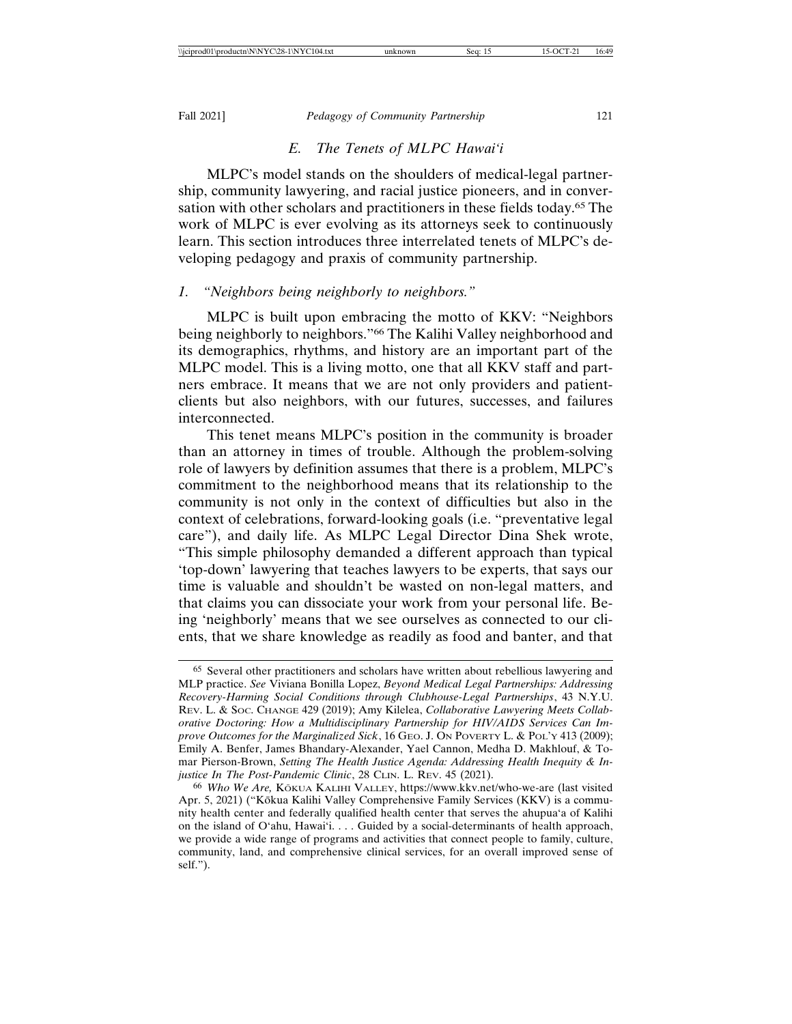### *E. The Tenets of MLPC Hawai'i*

MLPC's model stands on the shoulders of medical-legal partnership, community lawyering, and racial justice pioneers, and in conversation with other scholars and practitioners in these fields today.65 The work of MLPC is ever evolving as its attorneys seek to continuously learn. This section introduces three interrelated tenets of MLPC's developing pedagogy and praxis of community partnership.

## *1. "Neighbors being neighborly to neighbors."*

MLPC is built upon embracing the motto of KKV: "Neighbors being neighborly to neighbors."66 The Kalihi Valley neighborhood and its demographics, rhythms, and history are an important part of the MLPC model. This is a living motto, one that all KKV staff and partners embrace. It means that we are not only providers and patientclients but also neighbors, with our futures, successes, and failures interconnected.

This tenet means MLPC's position in the community is broader than an attorney in times of trouble. Although the problem-solving role of lawyers by definition assumes that there is a problem, MLPC's commitment to the neighborhood means that its relationship to the community is not only in the context of difficulties but also in the context of celebrations, forward-looking goals (i.e. "preventative legal care"), and daily life. As MLPC Legal Director Dina Shek wrote, "This simple philosophy demanded a different approach than typical 'top-down' lawyering that teaches lawyers to be experts, that says our time is valuable and shouldn't be wasted on non-legal matters, and that claims you can dissociate your work from your personal life. Being 'neighborly' means that we see ourselves as connected to our clients, that we share knowledge as readily as food and banter, and that

<sup>65</sup> Several other practitioners and scholars have written about rebellious lawyering and MLP practice. *See* Viviana Bonilla Lopez, *Beyond Medical Legal Partnerships: Addressing Recovery-Harming Social Conditions through Clubhouse-Legal Partnerships*, 43 N.Y.U. REV. L. & SOC. CHANGE 429 (2019); Amy Kilelea, *Collaborative Lawyering Meets Collaborative Doctoring: How a Multidisciplinary Partnership for HIV/AIDS Services Can Improve Outcomes for the Marginalized Sick*, 16 GEO. J. ON POVERTY L. & POL'Y 413 (2009); Emily A. Benfer, James Bhandary-Alexander, Yael Cannon, Medha D. Makhlouf, & Tomar Pierson-Brown, *Setting The Health Justice Agenda: Addressing Health Inequity & Injustice In The Post-Pandemic Clinic*, 28 CLIN. L. REV. 45 (2021).

<sup>66</sup> Who We Are, KOKUA KALIHI VALLEY, https://www.kkv.net/who-we-are (last visited Apr. 5, 2021) ("Kōkua Kalihi Valley Comprehensive Family Services (KKV) is a community health center and federally qualified health center that serves the ahupua'a of Kalihi on the island of O'ahu, Hawai'i. . . . Guided by a social-determinants of health approach, we provide a wide range of programs and activities that connect people to family, culture, community, land, and comprehensive clinical services, for an overall improved sense of self.").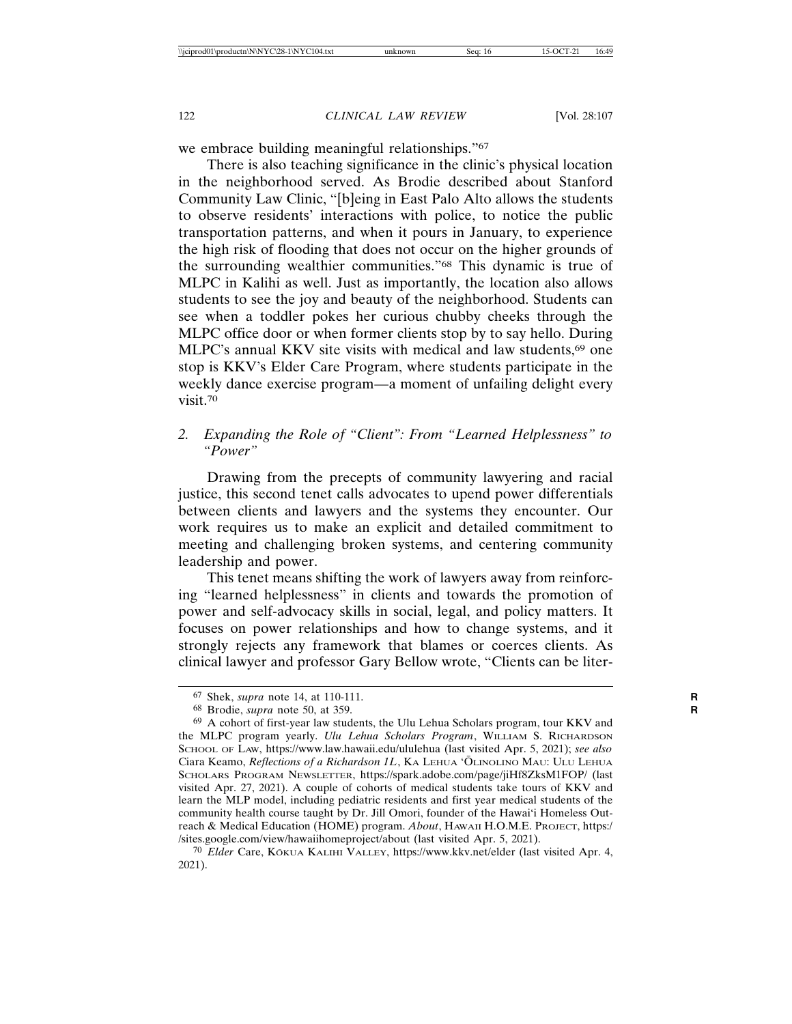we embrace building meaningful relationships."<sup>67</sup>

There is also teaching significance in the clinic's physical location in the neighborhood served. As Brodie described about Stanford Community Law Clinic, "[b]eing in East Palo Alto allows the students to observe residents' interactions with police, to notice the public transportation patterns, and when it pours in January, to experience the high risk of flooding that does not occur on the higher grounds of the surrounding wealthier communities."68 This dynamic is true of MLPC in Kalihi as well. Just as importantly, the location also allows students to see the joy and beauty of the neighborhood. Students can see when a toddler pokes her curious chubby cheeks through the MLPC office door or when former clients stop by to say hello. During MLPC's annual KKV site visits with medical and law students,<sup>69</sup> one stop is KKV's Elder Care Program, where students participate in the weekly dance exercise program—a moment of unfailing delight every visit.70

## *2. Expanding the Role of "Client": From "Learned Helplessness" to "Power"*

Drawing from the precepts of community lawyering and racial justice, this second tenet calls advocates to upend power differentials between clients and lawyers and the systems they encounter. Our work requires us to make an explicit and detailed commitment to meeting and challenging broken systems, and centering community leadership and power.

This tenet means shifting the work of lawyers away from reinforcing "learned helplessness" in clients and towards the promotion of power and self-advocacy skills in social, legal, and policy matters. It focuses on power relationships and how to change systems, and it strongly rejects any framework that blames or coerces clients. As clinical lawyer and professor Gary Bellow wrote, "Clients can be liter-

<sup>67</sup> Shek, *supra* note 14, at 110-111. **R**

<sup>68</sup> Brodie, *supra* note 50, at 359. **R**

<sup>69</sup> A cohort of first-year law students, the Ulu Lehua Scholars program, tour KKV and the MLPC program yearly. *Ulu Lehua Scholars Program*, WILLIAM S. RICHARDSON SCHOOL OF LAW, https://www.law.hawaii.edu/ululehua (last visited Apr. 5, 2021); *see also* Ciara Keamo, *Reflections of a Richardson 1L*, KA LEHUA 'ŌLINOLINO MAU: ULU LEHUA SCHOLARS PROGRAM NEWSLETTER, https://spark.adobe.com/page/jiHf8ZksM1FOP/ (last visited Apr. 27, 2021). A couple of cohorts of medical students take tours of KKV and learn the MLP model, including pediatric residents and first year medical students of the community health course taught by Dr. Jill Omori, founder of the Hawai'i Homeless Outreach & Medical Education (HOME) program. *About*, HAWAII H.O.M.E. PROJECT, https:/ /sites.google.com/view/hawaiihomeproject/about (last visited Apr. 5, 2021).

<sup>&</sup>lt;sup>70</sup> Elder Care, KōkuA KALIHI VALLEY, https://www.kkv.net/elder (last visited Apr. 4, 2021).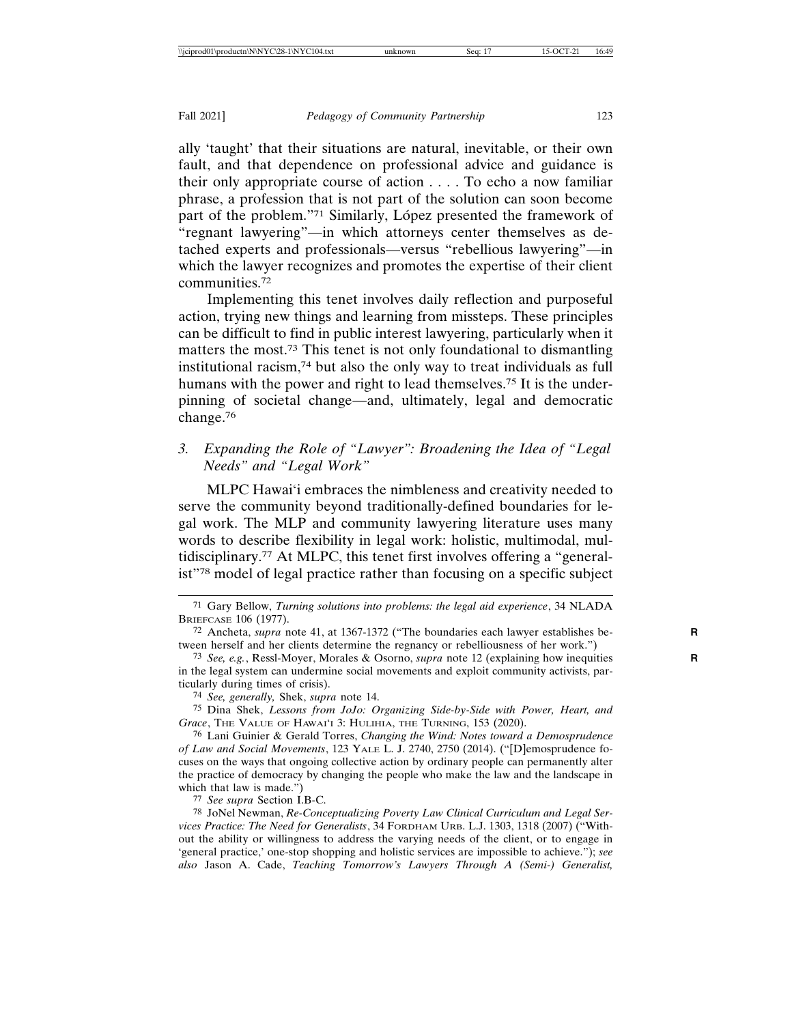ally 'taught' that their situations are natural, inevitable, or their own fault, and that dependence on professional advice and guidance is their only appropriate course of action . . . . To echo a now familiar phrase, a profession that is not part of the solution can soon become part of the problem."<sup>71</sup> Similarly, López presented the framework of "regnant lawyering"—in which attorneys center themselves as detached experts and professionals—versus "rebellious lawyering"—in which the lawyer recognizes and promotes the expertise of their client communities.72

Implementing this tenet involves daily reflection and purposeful action, trying new things and learning from missteps. These principles can be difficult to find in public interest lawyering, particularly when it matters the most.73 This tenet is not only foundational to dismantling institutional racism,74 but also the only way to treat individuals as full humans with the power and right to lead themselves.<sup>75</sup> It is the underpinning of societal change—and, ultimately, legal and democratic change.76

## *3. Expanding the Role of "Lawyer": Broadening the Idea of "Legal Needs" and "Legal Work"*

MLPC Hawai'i embraces the nimbleness and creativity needed to serve the community beyond traditionally-defined boundaries for legal work. The MLP and community lawyering literature uses many words to describe flexibility in legal work: holistic, multimodal, multidisciplinary.77 At MLPC, this tenet first involves offering a "generalist"78 model of legal practice rather than focusing on a specific subject

75 Dina Shek, *Lessons from JoJo: Organizing Side-by-Side with Power, Heart, and Grace*, THE VALUE OF HAWAI'I 3: HULIHIA, THE TURNING, 153 (2020).

76 Lani Guinier & Gerald Torres, *Changing the Wind: Notes toward a Demosprudence of Law and Social Movements*, 123 YALE L. J. 2740, 2750 (2014). ("[D]emosprudence focuses on the ways that ongoing collective action by ordinary people can permanently alter the practice of democracy by changing the people who make the law and the landscape in which that law is made.")

77 *See supra* Section I.B-C.

78 JoNel Newman, *Re-Conceptualizing Poverty Law Clinical Curriculum and Legal Services Practice: The Need for Generalists*, 34 FORDHAM URB. L.J. 1303, 1318 (2007) ("Without the ability or willingness to address the varying needs of the client, or to engage in 'general practice,' one-stop shopping and holistic services are impossible to achieve."); *see also* Jason A. Cade, *Teaching Tomorrow's Lawyers Through A (Semi-) Generalist,*

<sup>71</sup> Gary Bellow, *Turning solutions into problems: the legal aid experience*, 34 NLADA BRIEFCASE 106 (1977).

<sup>72</sup> Ancheta, *supra* note 41, at 1367-1372 ("The boundaries each lawyer establishes be- **R** tween herself and her clients determine the regnancy or rebelliousness of her work.")

<sup>73</sup> *See, e.g.*, Ressl-Moyer, Morales & Osorno, *supra* note 12 (explaining how inequities **R** in the legal system can undermine social movements and exploit community activists, particularly during times of crisis).

<sup>74</sup> *See, generally,* Shek, *supra* note 14.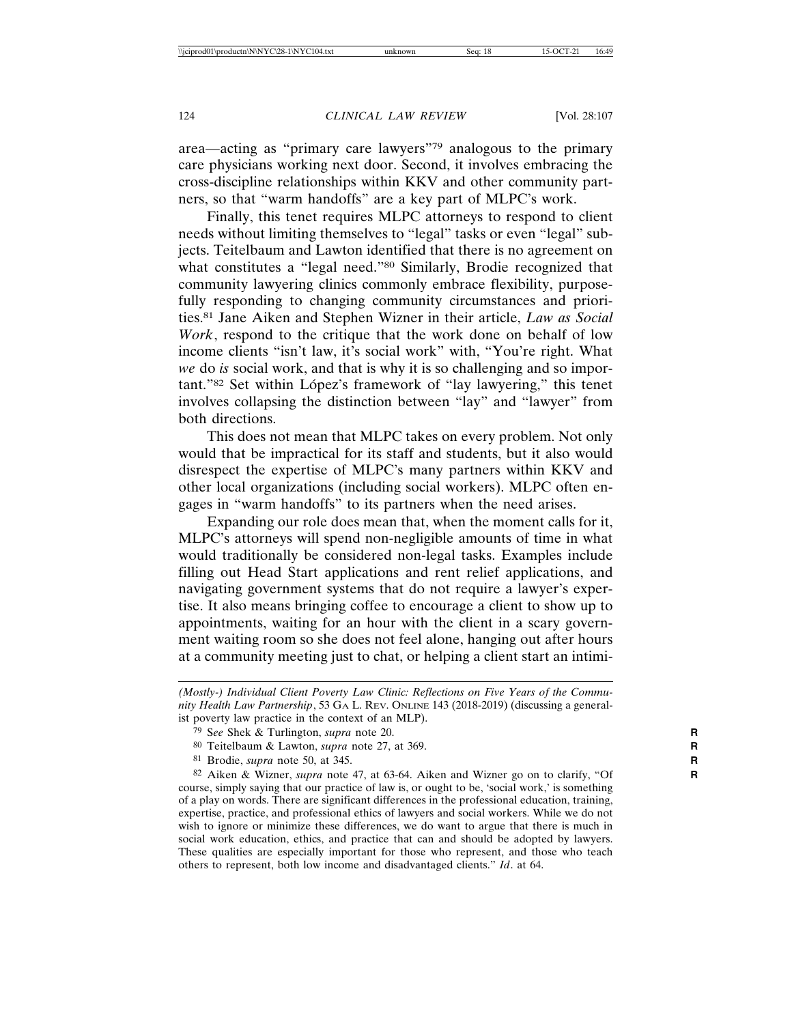area—acting as "primary care lawyers"79 analogous to the primary care physicians working next door. Second, it involves embracing the cross-discipline relationships within KKV and other community partners, so that "warm handoffs" are a key part of MLPC's work.

Finally, this tenet requires MLPC attorneys to respond to client needs without limiting themselves to "legal" tasks or even "legal" subjects. Teitelbaum and Lawton identified that there is no agreement on what constitutes a "legal need."<sup>80</sup> Similarly, Brodie recognized that community lawyering clinics commonly embrace flexibility, purposefully responding to changing community circumstances and priorities.81 Jane Aiken and Stephen Wizner in their article, *Law as Social Work*, respond to the critique that the work done on behalf of low income clients "isn't law, it's social work" with, "You're right. What *we* do *is* social work, and that is why it is so challenging and so important."<sup>82</sup> Set within López's framework of "lay lawyering," this tenet involves collapsing the distinction between "lay" and "lawyer" from both directions.

This does not mean that MLPC takes on every problem. Not only would that be impractical for its staff and students, but it also would disrespect the expertise of MLPC's many partners within KKV and other local organizations (including social workers). MLPC often engages in "warm handoffs" to its partners when the need arises.

Expanding our role does mean that, when the moment calls for it, MLPC's attorneys will spend non-negligible amounts of time in what would traditionally be considered non-legal tasks. Examples include filling out Head Start applications and rent relief applications, and navigating government systems that do not require a lawyer's expertise. It also means bringing coffee to encourage a client to show up to appointments, waiting for an hour with the client in a scary government waiting room so she does not feel alone, hanging out after hours at a community meeting just to chat, or helping a client start an intimi-

*<sup>(</sup>Mostly-) Individual Client Poverty Law Clinic: Reflections on Five Years of the Community Health Law Partnership*, 53 GA L. REV. ONLINE 143 (2018-2019) (discussing a generalist poverty law practice in the context of an MLP).

<sup>79</sup> S*ee* Shek & Turlington, *supra* note 20. **R**

<sup>80</sup> Teitelbaum & Lawton, *supra* note 27, at 369. **R**

<sup>81</sup> Brodie, *supra* note 50, at 345. **R**

<sup>82</sup> Aiken & Wizner, *supra* note 47, at 63-64. Aiken and Wizner go on to clarify, "Of **R** course, simply saying that our practice of law is, or ought to be, 'social work,' is something of a play on words. There are significant differences in the professional education, training, expertise, practice, and professional ethics of lawyers and social workers. While we do not wish to ignore or minimize these differences, we do want to argue that there is much in social work education, ethics, and practice that can and should be adopted by lawyers. These qualities are especially important for those who represent, and those who teach others to represent, both low income and disadvantaged clients." *Id*. at 64.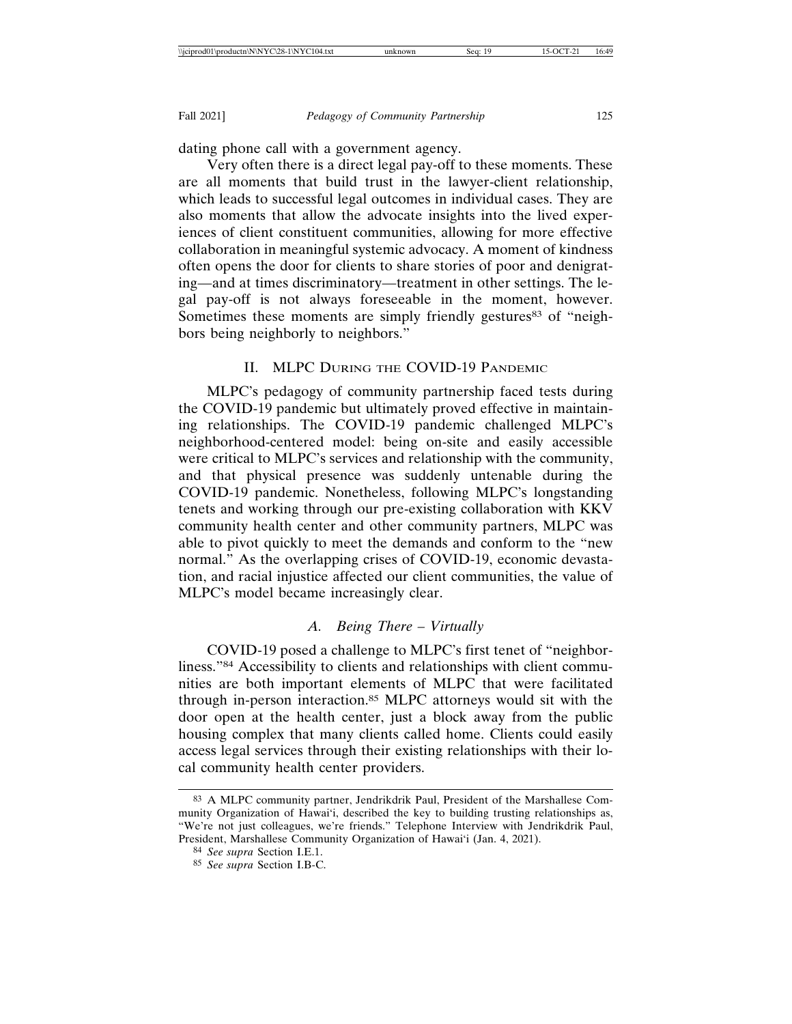dating phone call with a government agency.

Very often there is a direct legal pay-off to these moments. These are all moments that build trust in the lawyer-client relationship, which leads to successful legal outcomes in individual cases. They are also moments that allow the advocate insights into the lived experiences of client constituent communities, allowing for more effective collaboration in meaningful systemic advocacy. A moment of kindness often opens the door for clients to share stories of poor and denigrating—and at times discriminatory—treatment in other settings. The legal pay-off is not always foreseeable in the moment, however. Sometimes these moments are simply friendly gestures<sup>83</sup> of "neighbors being neighborly to neighbors."

### II. MLPC DURING THE COVID-19 PANDEMIC

MLPC's pedagogy of community partnership faced tests during the COVID-19 pandemic but ultimately proved effective in maintaining relationships. The COVID-19 pandemic challenged MLPC's neighborhood-centered model: being on-site and easily accessible were critical to MLPC's services and relationship with the community, and that physical presence was suddenly untenable during the COVID-19 pandemic. Nonetheless, following MLPC's longstanding tenets and working through our pre-existing collaboration with KKV community health center and other community partners, MLPC was able to pivot quickly to meet the demands and conform to the "new normal." As the overlapping crises of COVID-19, economic devastation, and racial injustice affected our client communities, the value of MLPC's model became increasingly clear.

## *A. Being There – Virtually*

COVID-19 posed a challenge to MLPC's first tenet of "neighborliness."84 Accessibility to clients and relationships with client communities are both important elements of MLPC that were facilitated through in-person interaction.85 MLPC attorneys would sit with the door open at the health center, just a block away from the public housing complex that many clients called home. Clients could easily access legal services through their existing relationships with their local community health center providers.

<sup>83</sup> A MLPC community partner, Jendrikdrik Paul, President of the Marshallese Community Organization of Hawai'i, described the key to building trusting relationships as, "We're not just colleagues, we're friends." Telephone Interview with Jendrikdrik Paul, President, Marshallese Community Organization of Hawai'i (Jan. 4, 2021).

<sup>84</sup> *See supra* Section I.E.1.

<sup>85</sup> *See supra* Section I.B-C.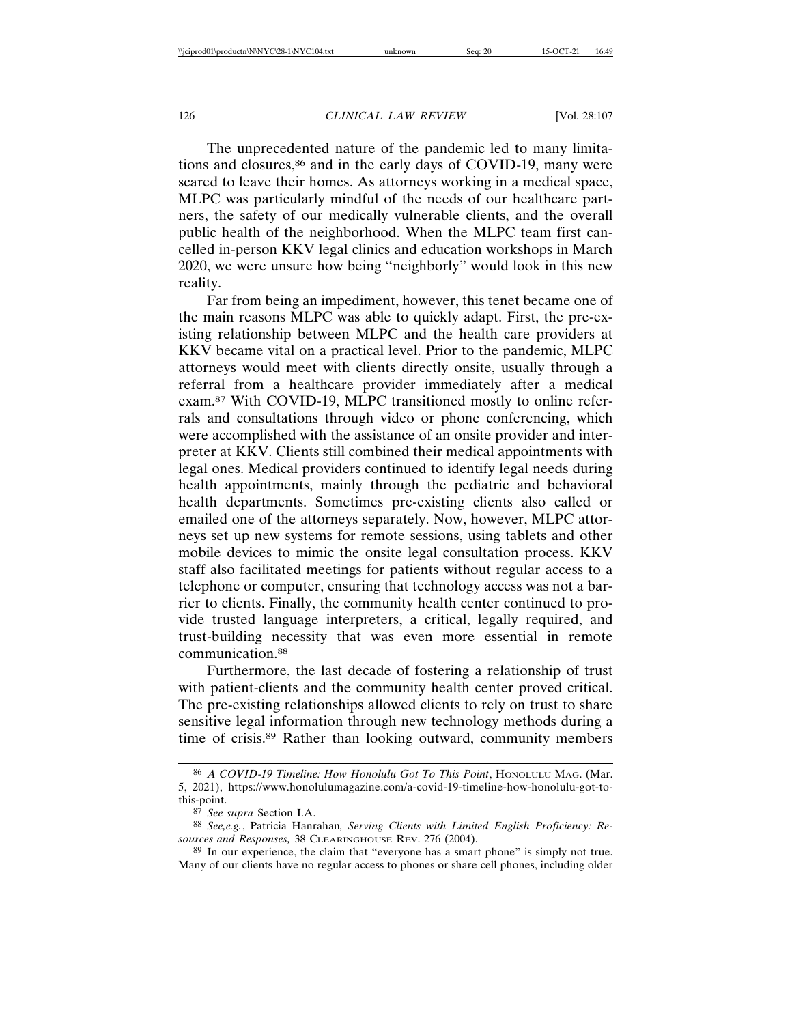The unprecedented nature of the pandemic led to many limitations and closures,86 and in the early days of COVID-19, many were scared to leave their homes. As attorneys working in a medical space, MLPC was particularly mindful of the needs of our healthcare partners, the safety of our medically vulnerable clients, and the overall public health of the neighborhood. When the MLPC team first cancelled in-person KKV legal clinics and education workshops in March 2020, we were unsure how being "neighborly" would look in this new reality.

Far from being an impediment, however, this tenet became one of the main reasons MLPC was able to quickly adapt. First, the pre-existing relationship between MLPC and the health care providers at KKV became vital on a practical level. Prior to the pandemic, MLPC attorneys would meet with clients directly onsite, usually through a referral from a healthcare provider immediately after a medical exam.87 With COVID-19, MLPC transitioned mostly to online referrals and consultations through video or phone conferencing, which were accomplished with the assistance of an onsite provider and interpreter at KKV. Clients still combined their medical appointments with legal ones. Medical providers continued to identify legal needs during health appointments, mainly through the pediatric and behavioral health departments. Sometimes pre-existing clients also called or emailed one of the attorneys separately. Now, however, MLPC attorneys set up new systems for remote sessions, using tablets and other mobile devices to mimic the onsite legal consultation process. KKV staff also facilitated meetings for patients without regular access to a telephone or computer, ensuring that technology access was not a barrier to clients. Finally, the community health center continued to provide trusted language interpreters, a critical, legally required, and trust-building necessity that was even more essential in remote communication.88

Furthermore, the last decade of fostering a relationship of trust with patient-clients and the community health center proved critical. The pre-existing relationships allowed clients to rely on trust to share sensitive legal information through new technology methods during a time of crisis.89 Rather than looking outward, community members

<sup>86</sup> *A COVID-19 Timeline: How Honolulu Got To This Point*, HONOLULU MAG. (Mar. 5, 2021), https://www.honolulumagazine.com/a-covid-19-timeline-how-honolulu-got-tothis-point.

<sup>87</sup> *See supra* Section I.A.

<sup>88</sup> *See,e.g.*, Patricia Hanrahan*, Serving Clients with Limited English Proficiency: Resources and Responses,* 38 CLEARINGHOUSE REV. 276 (2004).

<sup>89</sup> In our experience, the claim that "everyone has a smart phone" is simply not true. Many of our clients have no regular access to phones or share cell phones, including older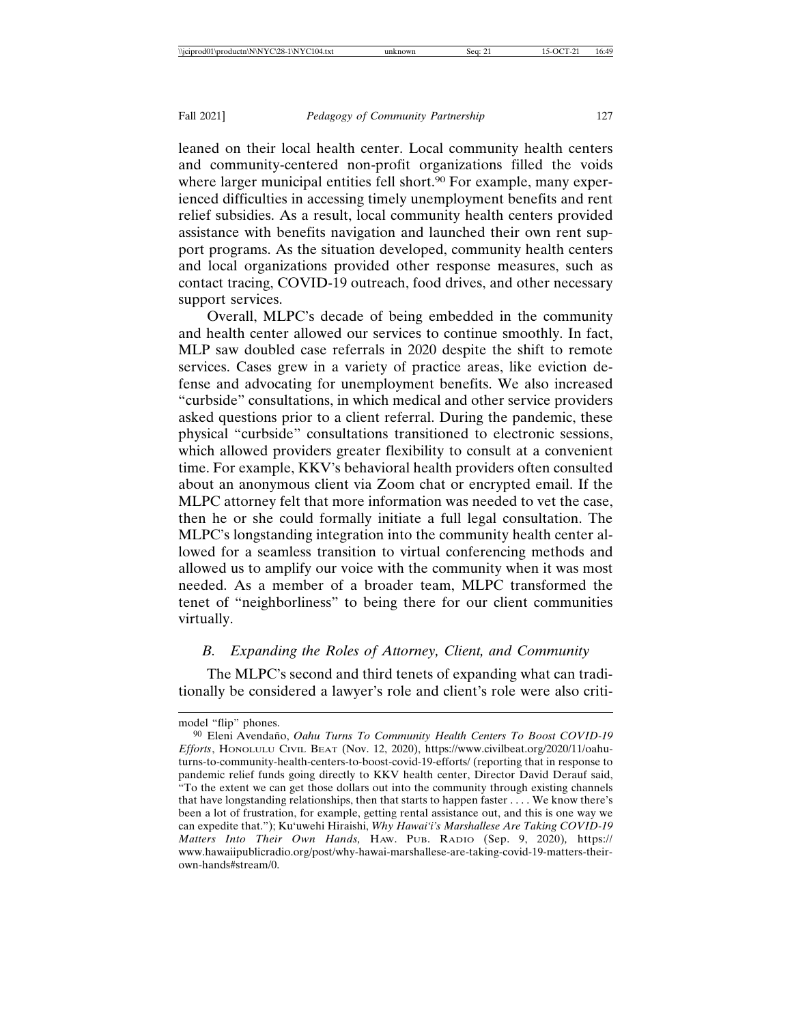leaned on their local health center. Local community health centers and community-centered non-profit organizations filled the voids where larger municipal entities fell short.<sup>90</sup> For example, many experienced difficulties in accessing timely unemployment benefits and rent relief subsidies. As a result, local community health centers provided assistance with benefits navigation and launched their own rent support programs. As the situation developed, community health centers and local organizations provided other response measures, such as contact tracing, COVID-19 outreach, food drives, and other necessary support services.

Overall, MLPC's decade of being embedded in the community and health center allowed our services to continue smoothly. In fact, MLP saw doubled case referrals in 2020 despite the shift to remote services. Cases grew in a variety of practice areas, like eviction defense and advocating for unemployment benefits. We also increased "curbside" consultations, in which medical and other service providers asked questions prior to a client referral. During the pandemic, these physical "curbside" consultations transitioned to electronic sessions, which allowed providers greater flexibility to consult at a convenient time. For example, KKV's behavioral health providers often consulted about an anonymous client via Zoom chat or encrypted email. If the MLPC attorney felt that more information was needed to vet the case, then he or she could formally initiate a full legal consultation. The MLPC's longstanding integration into the community health center allowed for a seamless transition to virtual conferencing methods and allowed us to amplify our voice with the community when it was most needed. As a member of a broader team, MLPC transformed the tenet of "neighborliness" to being there for our client communities virtually.

## *B. Expanding the Roles of Attorney, Client, and Community*

The MLPC's second and third tenets of expanding what can traditionally be considered a lawyer's role and client's role were also criti-

model "flip" phones.

<sup>&</sup>lt;sup>90</sup> Eleni Avendaño, Oahu Turns To Community Health Centers To Boost COVID-19 *Efforts*, HONOLULU CIVIL BEAT (Nov. 12, 2020), https://www.civilbeat.org/2020/11/oahuturns-to-community-health-centers-to-boost-covid-19-efforts/ (reporting that in response to pandemic relief funds going directly to KKV health center, Director David Derauf said, "To the extent we can get those dollars out into the community through existing channels that have longstanding relationships, then that starts to happen faster . . . . We know there's been a lot of frustration, for example, getting rental assistance out, and this is one way we can expedite that."); Ku'uwehi Hiraishi, *Why Hawai'i's Marshallese Are Taking COVID-19 Matters Into Their Own Hands,* HAW. PUB. RADIO (Sep. 9, 2020)*,* https:// www.hawaiipublicradio.org/post/why-hawai-marshallese-are-taking-covid-19-matters-theirown-hands#stream/0.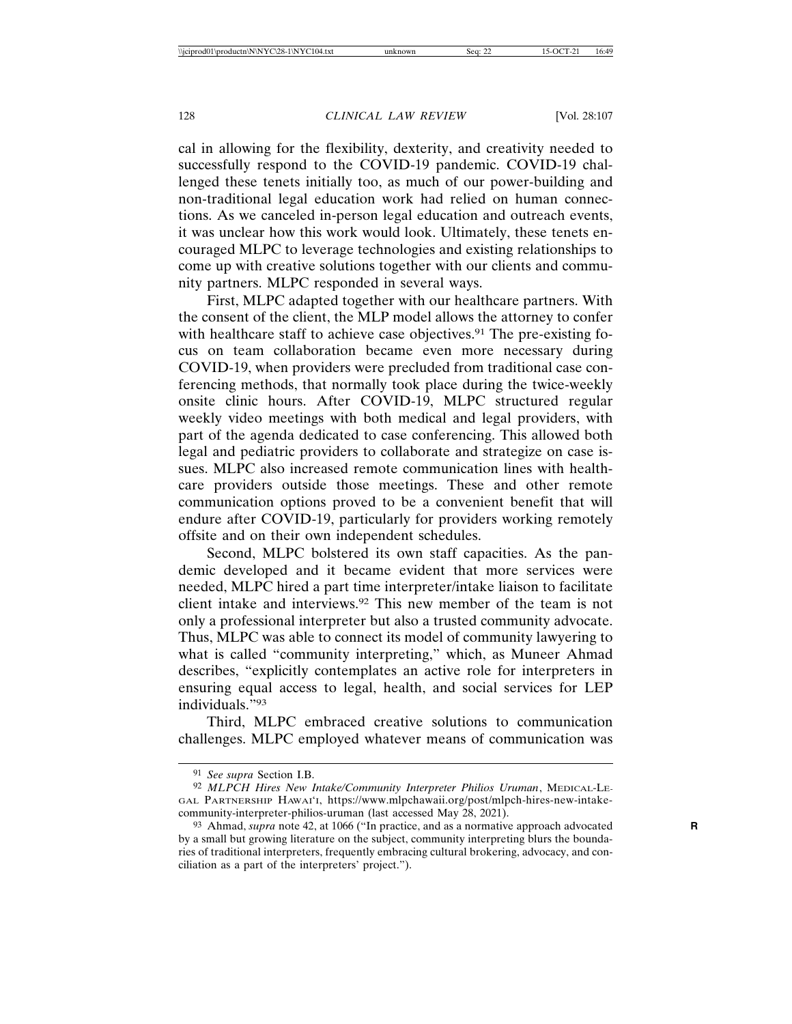cal in allowing for the flexibility, dexterity, and creativity needed to successfully respond to the COVID-19 pandemic. COVID-19 challenged these tenets initially too, as much of our power-building and non-traditional legal education work had relied on human connections. As we canceled in-person legal education and outreach events, it was unclear how this work would look. Ultimately, these tenets encouraged MLPC to leverage technologies and existing relationships to come up with creative solutions together with our clients and community partners. MLPC responded in several ways.

First, MLPC adapted together with our healthcare partners. With the consent of the client, the MLP model allows the attorney to confer with healthcare staff to achieve case objectives.<sup>91</sup> The pre-existing focus on team collaboration became even more necessary during COVID-19, when providers were precluded from traditional case conferencing methods, that normally took place during the twice-weekly onsite clinic hours. After COVID-19, MLPC structured regular weekly video meetings with both medical and legal providers, with part of the agenda dedicated to case conferencing. This allowed both legal and pediatric providers to collaborate and strategize on case issues. MLPC also increased remote communication lines with healthcare providers outside those meetings. These and other remote communication options proved to be a convenient benefit that will endure after COVID-19, particularly for providers working remotely offsite and on their own independent schedules.

Second, MLPC bolstered its own staff capacities. As the pandemic developed and it became evident that more services were needed, MLPC hired a part time interpreter/intake liaison to facilitate client intake and interviews.92 This new member of the team is not only a professional interpreter but also a trusted community advocate. Thus, MLPC was able to connect its model of community lawyering to what is called "community interpreting," which, as Muneer Ahmad describes, "explicitly contemplates an active role for interpreters in ensuring equal access to legal, health, and social services for LEP individuals."93

Third, MLPC embraced creative solutions to communication challenges. MLPC employed whatever means of communication was

<sup>91</sup> *See supra* Section I.B.

<sup>92</sup> *MLPCH Hires New Intake/Community Interpreter Philios Uruman*, MEDICAL-LE-GAL PARTNERSHIP HAWAI'I, https://www.mlpchawaii.org/post/mlpch-hires-new-intakecommunity-interpreter-philios-uruman (last accessed May 28, 2021).

<sup>93</sup> Ahmad, *supra* note 42, at 1066 ("In practice, and as a normative approach advocated **R** by a small but growing literature on the subject, community interpreting blurs the boundaries of traditional interpreters, frequently embracing cultural brokering, advocacy, and conciliation as a part of the interpreters' project.").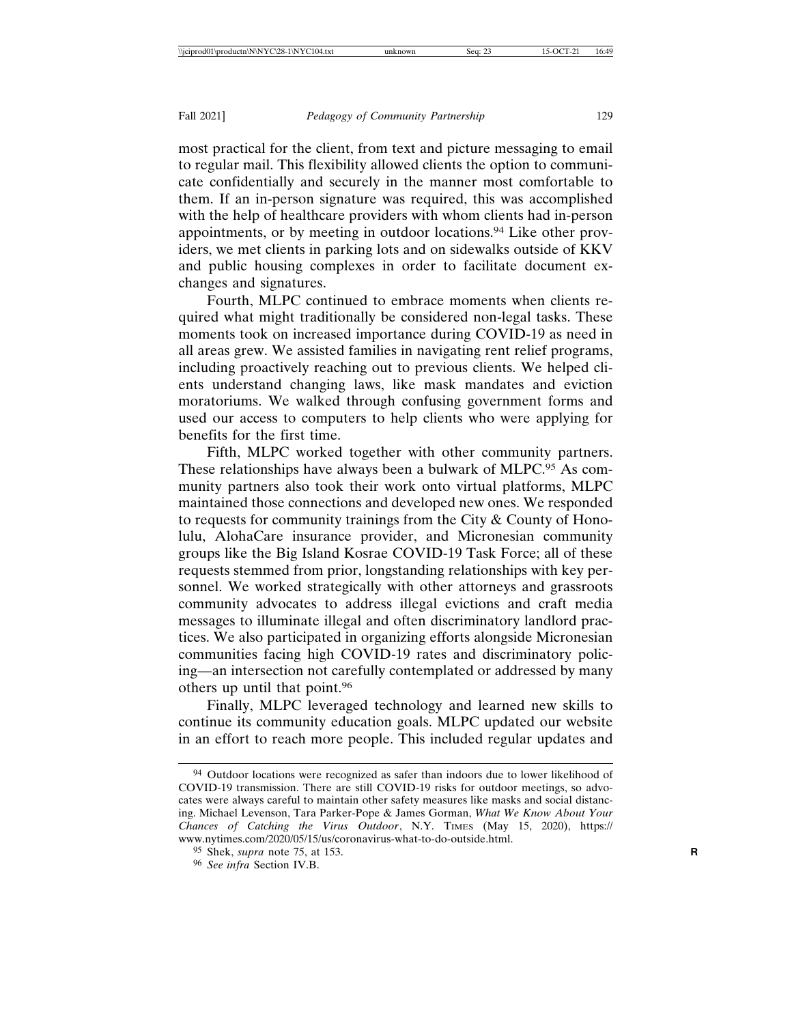most practical for the client, from text and picture messaging to email to regular mail. This flexibility allowed clients the option to communicate confidentially and securely in the manner most comfortable to them. If an in-person signature was required, this was accomplished with the help of healthcare providers with whom clients had in-person appointments, or by meeting in outdoor locations.94 Like other providers, we met clients in parking lots and on sidewalks outside of KKV and public housing complexes in order to facilitate document exchanges and signatures.

Fourth, MLPC continued to embrace moments when clients required what might traditionally be considered non-legal tasks. These moments took on increased importance during COVID-19 as need in all areas grew. We assisted families in navigating rent relief programs, including proactively reaching out to previous clients. We helped clients understand changing laws, like mask mandates and eviction moratoriums. We walked through confusing government forms and used our access to computers to help clients who were applying for benefits for the first time.

Fifth, MLPC worked together with other community partners. These relationships have always been a bulwark of MLPC.95 As community partners also took their work onto virtual platforms, MLPC maintained those connections and developed new ones. We responded to requests for community trainings from the City & County of Honolulu, AlohaCare insurance provider, and Micronesian community groups like the Big Island Kosrae COVID-19 Task Force; all of these requests stemmed from prior, longstanding relationships with key personnel. We worked strategically with other attorneys and grassroots community advocates to address illegal evictions and craft media messages to illuminate illegal and often discriminatory landlord practices. We also participated in organizing efforts alongside Micronesian communities facing high COVID-19 rates and discriminatory policing—an intersection not carefully contemplated or addressed by many others up until that point.96

Finally, MLPC leveraged technology and learned new skills to continue its community education goals. MLPC updated our website in an effort to reach more people. This included regular updates and

<sup>94</sup> Outdoor locations were recognized as safer than indoors due to lower likelihood of COVID-19 transmission. There are still COVID-19 risks for outdoor meetings, so advocates were always careful to maintain other safety measures like masks and social distancing. Michael Levenson, Tara Parker-Pope & James Gorman, *What We Know About Your Chances of Catching the Virus Outdoor*, N.Y. TIMES (May 15, 2020), https:// www.nytimes.com/2020/05/15/us/coronavirus-what-to-do-outside.html.

<sup>95</sup> Shek, *supra* note 75, at 153. **R**

<sup>96</sup> *See infra* Section IV.B.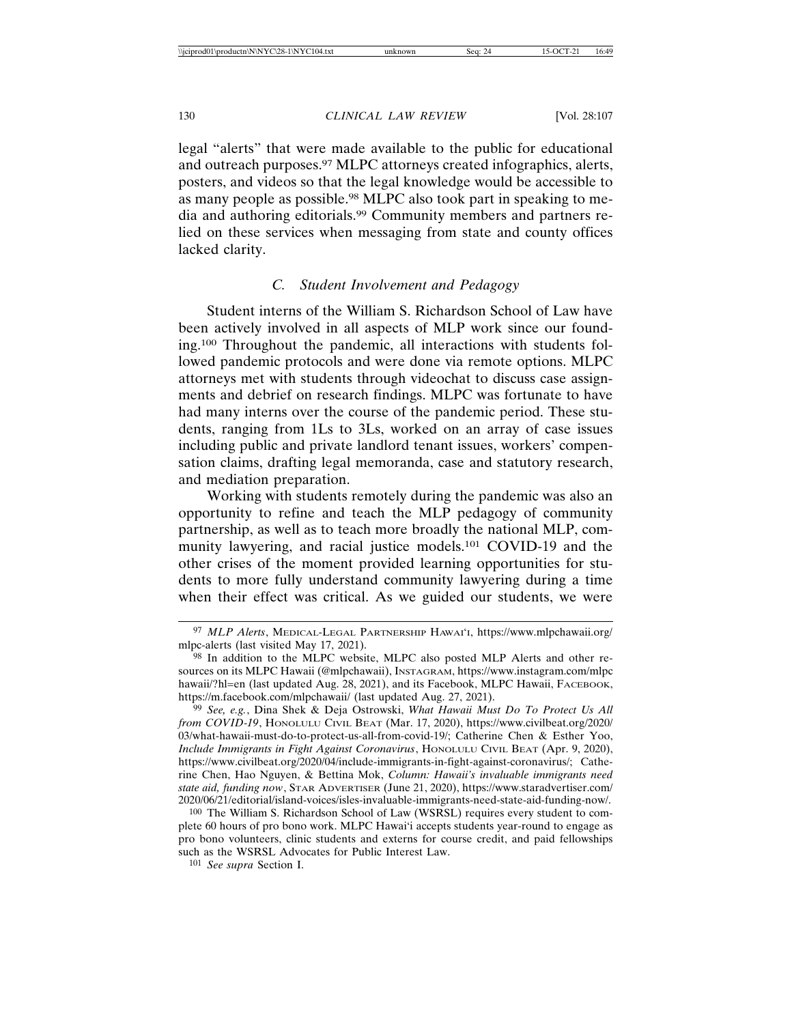legal "alerts" that were made available to the public for educational and outreach purposes.<sup>97</sup> MLPC attorneys created infographics, alerts, posters, and videos so that the legal knowledge would be accessible to as many people as possible.<sup>98</sup> MLPC also took part in speaking to media and authoring editorials.99 Community members and partners relied on these services when messaging from state and county offices lacked clarity.

## *C. Student Involvement and Pedagogy*

Student interns of the William S. Richardson School of Law have been actively involved in all aspects of MLP work since our founding.100 Throughout the pandemic, all interactions with students followed pandemic protocols and were done via remote options. MLPC attorneys met with students through videochat to discuss case assignments and debrief on research findings. MLPC was fortunate to have had many interns over the course of the pandemic period. These students, ranging from 1Ls to 3Ls, worked on an array of case issues including public and private landlord tenant issues, workers' compensation claims, drafting legal memoranda, case and statutory research, and mediation preparation.

Working with students remotely during the pandemic was also an opportunity to refine and teach the MLP pedagogy of community partnership, as well as to teach more broadly the national MLP, community lawyering, and racial justice models.101 COVID-19 and the other crises of the moment provided learning opportunities for students to more fully understand community lawyering during a time when their effect was critical. As we guided our students, we were

<sup>97</sup> *MLP Alerts*, MEDICAL-LEGAL PARTNERSHIP HAWAI'I, https://www.mlpchawaii.org/ mlpc-alerts (last visited May 17, 2021).

<sup>98</sup> In addition to the MLPC website, MLPC also posted MLP Alerts and other resources on its MLPC Hawaii (@mlpchawaii), INSTAGRAM, https://www.instagram.com/mlpc hawaii/?hl=en (last updated Aug. 28, 2021), and its Facebook, MLPC Hawaii, FACEBOOK, https://m.facebook.com/mlpchawaii/ (last updated Aug. 27, 2021).

<sup>99</sup> *See, e.g.*, Dina Shek & Deja Ostrowski, *What Hawaii Must Do To Protect Us All from COVID-19*, HONOLULU CIVIL BEAT (Mar. 17, 2020), https://www.civilbeat.org/2020/ 03/what-hawaii-must-do-to-protect-us-all-from-covid-19/; Catherine Chen & Esther Yoo, *Include Immigrants in Fight Against Coronavirus*, HONOLULU CIVIL BEAT (Apr. 9, 2020), https://www.civilbeat.org/2020/04/include-immigrants-in-fight-against-coronavirus/; Catherine Chen, Hao Nguyen, & Bettina Mok, *Column: Hawaii's invaluable immigrants need state aid, funding now*, STAR ADVERTISER (June 21, 2020), https://www.staradvertiser.com/ 2020/06/21/editorial/island-voices/isles-invaluable-immigrants-need-state-aid-funding-now/.

<sup>100</sup> The William S. Richardson School of Law (WSRSL) requires every student to complete 60 hours of pro bono work. MLPC Hawai'i accepts students year-round to engage as pro bono volunteers, clinic students and externs for course credit, and paid fellowships such as the WSRSL Advocates for Public Interest Law.

<sup>101</sup> *See supra* Section I.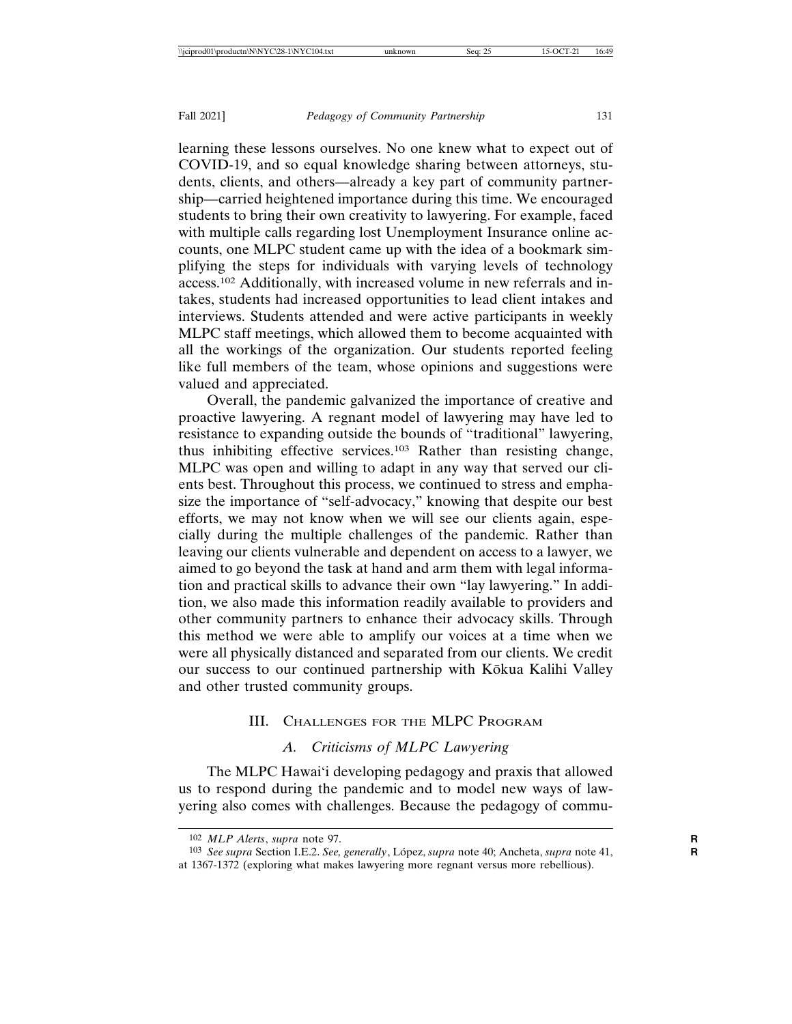learning these lessons ourselves. No one knew what to expect out of COVID-19, and so equal knowledge sharing between attorneys, students, clients, and others—already a key part of community partnership—carried heightened importance during this time. We encouraged students to bring their own creativity to lawyering. For example, faced with multiple calls regarding lost Unemployment Insurance online accounts, one MLPC student came up with the idea of a bookmark simplifying the steps for individuals with varying levels of technology access.102 Additionally, with increased volume in new referrals and intakes, students had increased opportunities to lead client intakes and interviews. Students attended and were active participants in weekly MLPC staff meetings, which allowed them to become acquainted with all the workings of the organization. Our students reported feeling like full members of the team, whose opinions and suggestions were valued and appreciated.

Overall, the pandemic galvanized the importance of creative and proactive lawyering. A regnant model of lawyering may have led to resistance to expanding outside the bounds of "traditional" lawyering, thus inhibiting effective services.103 Rather than resisting change, MLPC was open and willing to adapt in any way that served our clients best. Throughout this process, we continued to stress and emphasize the importance of "self-advocacy," knowing that despite our best efforts, we may not know when we will see our clients again, especially during the multiple challenges of the pandemic. Rather than leaving our clients vulnerable and dependent on access to a lawyer, we aimed to go beyond the task at hand and arm them with legal information and practical skills to advance their own "lay lawyering." In addition, we also made this information readily available to providers and other community partners to enhance their advocacy skills. Through this method we were able to amplify our voices at a time when we were all physically distanced and separated from our clients. We credit our success to our continued partnership with Kōkua Kalihi Valley and other trusted community groups.

## III. CHALLENGES FOR THE MLPC PROGRAM

## *A. Criticisms of MLPC Lawyering*

The MLPC Hawai'i developing pedagogy and praxis that allowed us to respond during the pandemic and to model new ways of lawyering also comes with challenges. Because the pedagogy of commu-

<sup>102</sup> *MLP Alerts*, *supra* note 97. **R**

<sup>103</sup> *See supra* Section I.E.2. *See, generally*, López, *supra* note 40; Ancheta, *supra* note 41, **R** at 1367-1372 (exploring what makes lawyering more regnant versus more rebellious).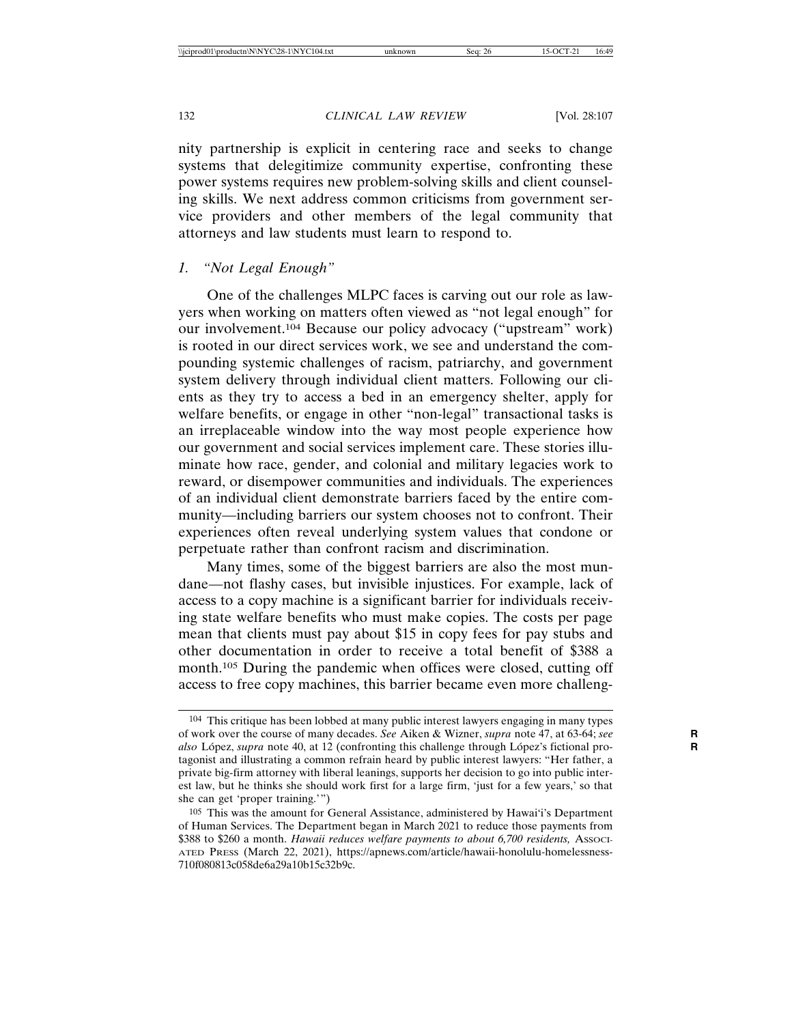nity partnership is explicit in centering race and seeks to change systems that delegitimize community expertise, confronting these power systems requires new problem-solving skills and client counseling skills. We next address common criticisms from government service providers and other members of the legal community that attorneys and law students must learn to respond to.

## *1. "Not Legal Enough"*

One of the challenges MLPC faces is carving out our role as lawyers when working on matters often viewed as "not legal enough" for our involvement.104 Because our policy advocacy ("upstream" work) is rooted in our direct services work, we see and understand the compounding systemic challenges of racism, patriarchy, and government system delivery through individual client matters. Following our clients as they try to access a bed in an emergency shelter, apply for welfare benefits, or engage in other "non-legal" transactional tasks is an irreplaceable window into the way most people experience how our government and social services implement care. These stories illuminate how race, gender, and colonial and military legacies work to reward, or disempower communities and individuals. The experiences of an individual client demonstrate barriers faced by the entire community—including barriers our system chooses not to confront. Their experiences often reveal underlying system values that condone or perpetuate rather than confront racism and discrimination.

Many times, some of the biggest barriers are also the most mundane—not flashy cases, but invisible injustices. For example, lack of access to a copy machine is a significant barrier for individuals receiving state welfare benefits who must make copies. The costs per page mean that clients must pay about \$15 in copy fees for pay stubs and other documentation in order to receive a total benefit of \$388 a month.105 During the pandemic when offices were closed, cutting off access to free copy machines, this barrier became even more challeng-

<sup>104</sup> This critique has been lobbed at many public interest lawyers engaging in many types of work over the course of many decades. *See* Aiken & Wizner, *supra* note 47, at 63-64; *see* **R** *also* López, *supra* note 40, at 12 (confronting this challenge through López's fictional protagonist and illustrating a common refrain heard by public interest lawyers: "Her father, a private big-firm attorney with liberal leanings, supports her decision to go into public interest law, but he thinks she should work first for a large firm, 'just for a few years,' so that she can get 'proper training.'")

<sup>105</sup> This was the amount for General Assistance, administered by Hawai'i's Department of Human Services. The Department began in March 2021 to reduce those payments from \$388 to \$260 a month. *Hawaii reduces welfare payments to about 6,700 residents,* ASSOCI-ATED PRESS (March 22, 2021), https://apnews.com/article/hawaii-honolulu-homelessness-710f080813c058de6a29a10b15c32b9c.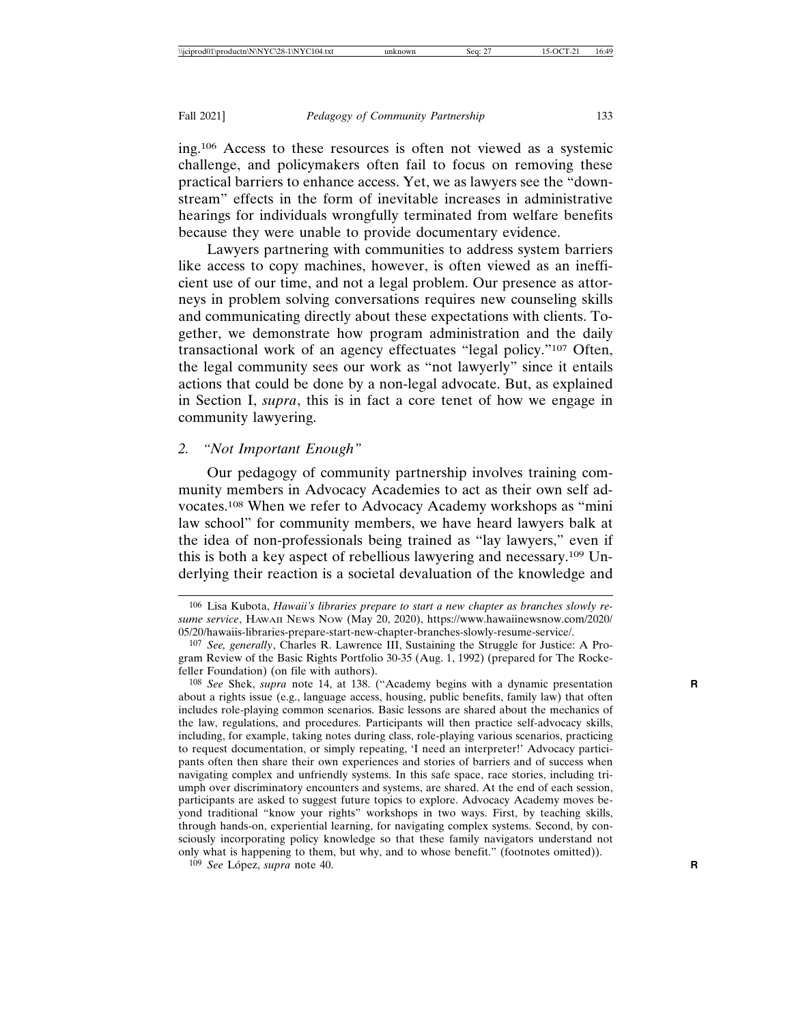ing.106 Access to these resources is often not viewed as a systemic challenge, and policymakers often fail to focus on removing these practical barriers to enhance access. Yet, we as lawyers see the "downstream" effects in the form of inevitable increases in administrative hearings for individuals wrongfully terminated from welfare benefits because they were unable to provide documentary evidence.

Lawyers partnering with communities to address system barriers like access to copy machines, however, is often viewed as an inefficient use of our time, and not a legal problem. Our presence as attorneys in problem solving conversations requires new counseling skills and communicating directly about these expectations with clients. Together, we demonstrate how program administration and the daily transactional work of an agency effectuates "legal policy."107 Often, the legal community sees our work as "not lawyerly" since it entails actions that could be done by a non-legal advocate. But, as explained in Section I, *supra*, this is in fact a core tenet of how we engage in community lawyering.

### *2. "Not Important Enough"*

Our pedagogy of community partnership involves training community members in Advocacy Academies to act as their own self advocates.108 When we refer to Advocacy Academy workshops as "mini law school" for community members, we have heard lawyers balk at the idea of non-professionals being trained as "lay lawyers," even if this is both a key aspect of rebellious lawyering and necessary.109 Underlying their reaction is a societal devaluation of the knowledge and

<sup>106</sup> Lisa Kubota, *Hawaii's libraries prepare to start a new chapter as branches slowly resume service*, HAWAII NEWS NOW (May 20, 2020), https://www.hawaiinewsnow.com/2020/ 05/20/hawaiis-libraries-prepare-start-new-chapter-branches-slowly-resume-service/.

<sup>107</sup> *See, generally*, Charles R. Lawrence III, Sustaining the Struggle for Justice: A Program Review of the Basic Rights Portfolio 30-35 (Aug. 1, 1992) (prepared for The Rockefeller Foundation) (on file with authors).

<sup>108</sup> *See* Shek, *supra* note 14, at 138. ("Academy begins with a dynamic presentation **R** about a rights issue (e.g., language access, housing, public benefits, family law) that often includes role-playing common scenarios. Basic lessons are shared about the mechanics of the law, regulations, and procedures. Participants will then practice self-advocacy skills, including, for example, taking notes during class, role-playing various scenarios, practicing to request documentation, or simply repeating, 'I need an interpreter!' Advocacy participants often then share their own experiences and stories of barriers and of success when navigating complex and unfriendly systems. In this safe space, race stories, including triumph over discriminatory encounters and systems, are shared. At the end of each session, participants are asked to suggest future topics to explore. Advocacy Academy moves beyond traditional "know your rights" workshops in two ways. First, by teaching skills, through hands-on, experiential learning, for navigating complex systems. Second, by consciously incorporating policy knowledge so that these family navigators understand not only what is happening to them, but why, and to whose benefit." (footnotes omitted)).

<sup>109</sup> *See* L´opez, *supra* note 40. **R**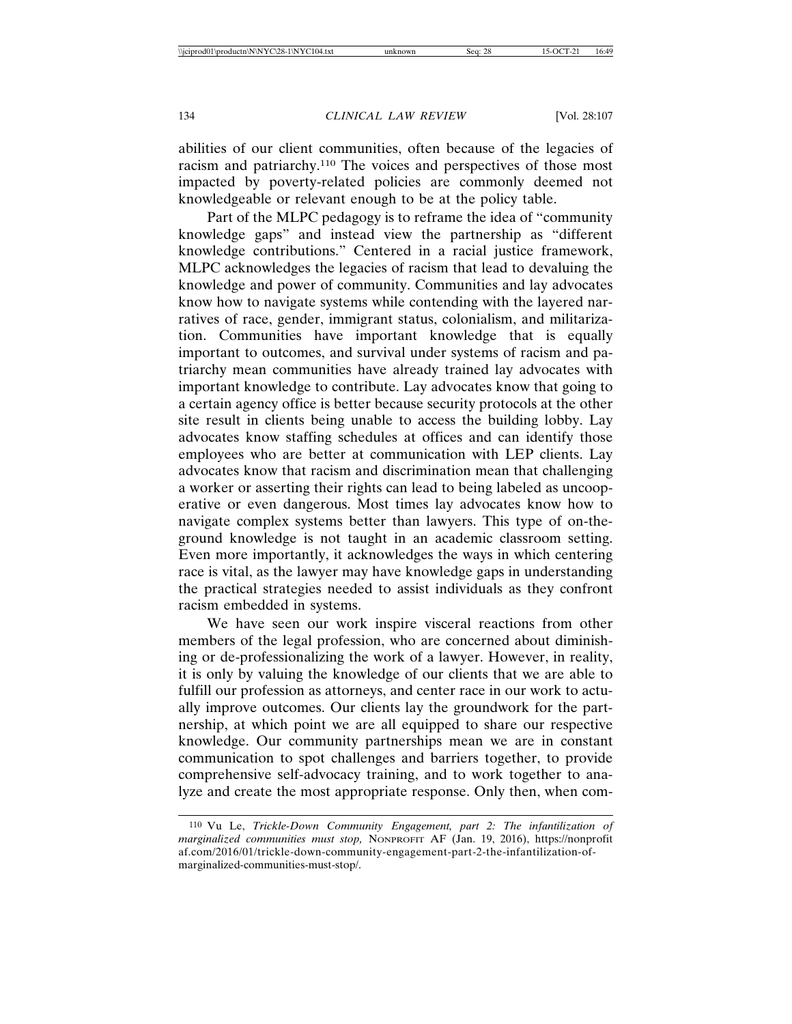abilities of our client communities, often because of the legacies of racism and patriarchy.110 The voices and perspectives of those most impacted by poverty-related policies are commonly deemed not knowledgeable or relevant enough to be at the policy table.

Part of the MLPC pedagogy is to reframe the idea of "community knowledge gaps" and instead view the partnership as "different knowledge contributions." Centered in a racial justice framework, MLPC acknowledges the legacies of racism that lead to devaluing the knowledge and power of community. Communities and lay advocates know how to navigate systems while contending with the layered narratives of race, gender, immigrant status, colonialism, and militarization. Communities have important knowledge that is equally important to outcomes, and survival under systems of racism and patriarchy mean communities have already trained lay advocates with important knowledge to contribute. Lay advocates know that going to a certain agency office is better because security protocols at the other site result in clients being unable to access the building lobby. Lay advocates know staffing schedules at offices and can identify those employees who are better at communication with LEP clients. Lay advocates know that racism and discrimination mean that challenging a worker or asserting their rights can lead to being labeled as uncooperative or even dangerous. Most times lay advocates know how to navigate complex systems better than lawyers. This type of on-theground knowledge is not taught in an academic classroom setting. Even more importantly, it acknowledges the ways in which centering race is vital, as the lawyer may have knowledge gaps in understanding the practical strategies needed to assist individuals as they confront racism embedded in systems.

We have seen our work inspire visceral reactions from other members of the legal profession, who are concerned about diminishing or de-professionalizing the work of a lawyer. However, in reality, it is only by valuing the knowledge of our clients that we are able to fulfill our profession as attorneys, and center race in our work to actually improve outcomes. Our clients lay the groundwork for the partnership, at which point we are all equipped to share our respective knowledge. Our community partnerships mean we are in constant communication to spot challenges and barriers together, to provide comprehensive self-advocacy training, and to work together to analyze and create the most appropriate response. Only then, when com-

<sup>110</sup> Vu Le, *Trickle-Down Community Engagement, part 2: The infantilization of marginalized communities must stop,* NONPROFIT AF (Jan. 19, 2016), https://nonprofit af.com/2016/01/trickle-down-community-engagement-part-2-the-infantilization-ofmarginalized-communities-must-stop/.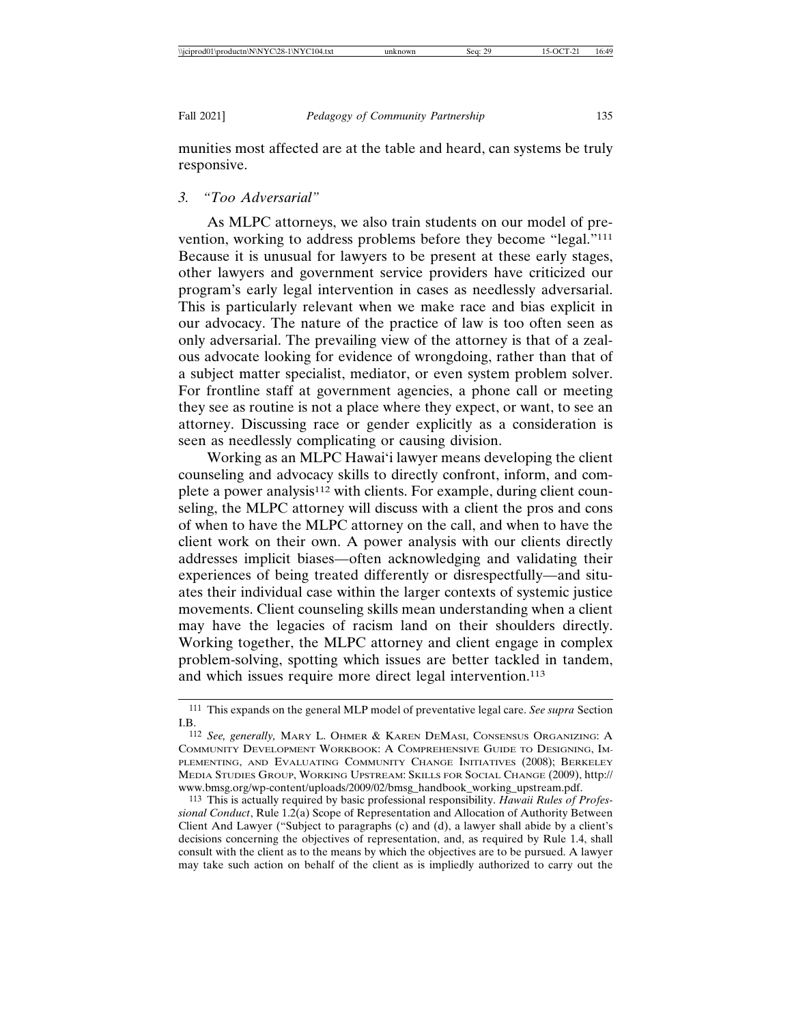munities most affected are at the table and heard, can systems be truly responsive.

## *3. "Too Adversarial"*

As MLPC attorneys, we also train students on our model of prevention, working to address problems before they become "legal."111 Because it is unusual for lawyers to be present at these early stages, other lawyers and government service providers have criticized our program's early legal intervention in cases as needlessly adversarial. This is particularly relevant when we make race and bias explicit in our advocacy. The nature of the practice of law is too often seen as only adversarial. The prevailing view of the attorney is that of a zealous advocate looking for evidence of wrongdoing, rather than that of a subject matter specialist, mediator, or even system problem solver. For frontline staff at government agencies, a phone call or meeting they see as routine is not a place where they expect, or want, to see an attorney. Discussing race or gender explicitly as a consideration is seen as needlessly complicating or causing division.

Working as an MLPC Hawai'i lawyer means developing the client counseling and advocacy skills to directly confront, inform, and complete a power analysis<sup>112</sup> with clients. For example, during client counseling, the MLPC attorney will discuss with a client the pros and cons of when to have the MLPC attorney on the call, and when to have the client work on their own. A power analysis with our clients directly addresses implicit biases—often acknowledging and validating their experiences of being treated differently or disrespectfully—and situates their individual case within the larger contexts of systemic justice movements. Client counseling skills mean understanding when a client may have the legacies of racism land on their shoulders directly. Working together, the MLPC attorney and client engage in complex problem-solving, spotting which issues are better tackled in tandem, and which issues require more direct legal intervention.<sup>113</sup>

<sup>111</sup> This expands on the general MLP model of preventative legal care. *See supra* Section I.B.

<sup>112</sup> *See, generally,* MARY L. OHMER & KAREN DEMASI, CONSENSUS ORGANIZING: A COMMUNITY DEVELOPMENT WORKBOOK: A COMPREHENSIVE GUIDE TO DESIGNING, IM-PLEMENTING, AND EVALUATING COMMUNITY CHANGE INITIATIVES (2008); BERKELEY MEDIA STUDIES GROUP, WORKING UPSTREAM: SKILLS FOR SOCIAL CHANGE (2009), http:// www.bmsg.org/wp-content/uploads/2009/02/bmsg\_handbook\_working\_upstream.pdf.

<sup>113</sup> This is actually required by basic professional responsibility. *Hawaii Rules of Professional Conduct*, Rule 1.2(a) Scope of Representation and Allocation of Authority Between Client And Lawyer ("Subject to paragraphs (c) and (d), a lawyer shall abide by a client's decisions concerning the objectives of representation, and, as required by Rule 1.4, shall consult with the client as to the means by which the objectives are to be pursued. A lawyer may take such action on behalf of the client as is impliedly authorized to carry out the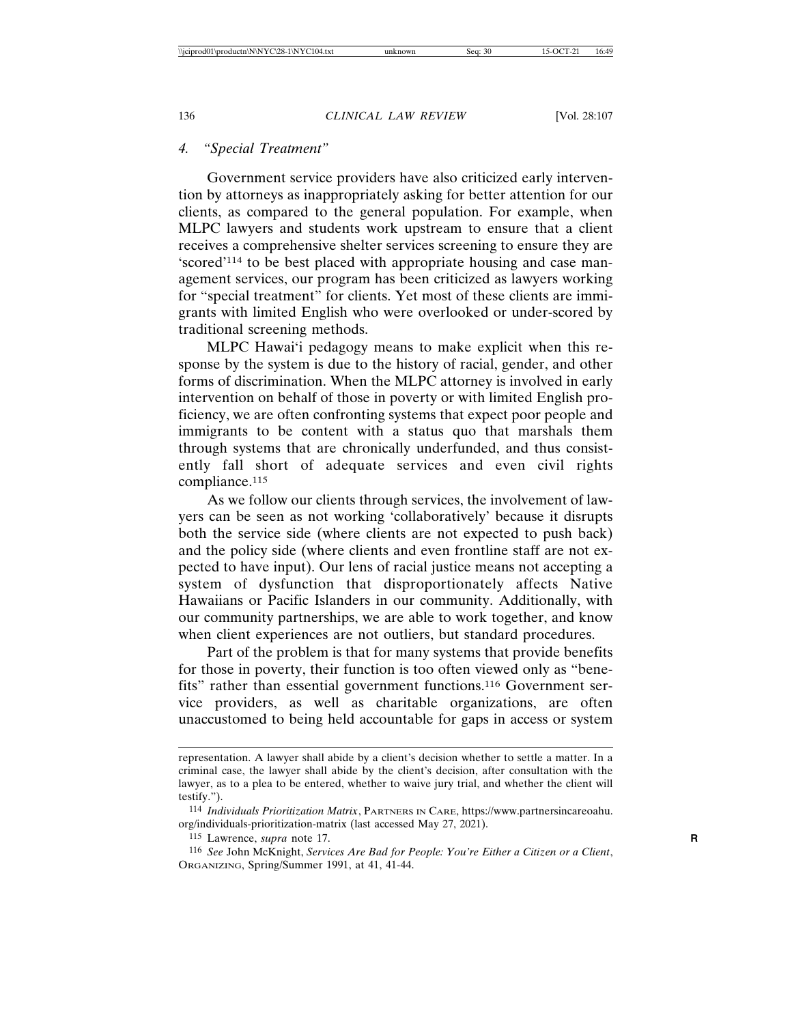## *4. "Special Treatment"*

Government service providers have also criticized early intervention by attorneys as inappropriately asking for better attention for our clients, as compared to the general population. For example, when MLPC lawyers and students work upstream to ensure that a client receives a comprehensive shelter services screening to ensure they are 'scored'114 to be best placed with appropriate housing and case management services, our program has been criticized as lawyers working for "special treatment" for clients. Yet most of these clients are immigrants with limited English who were overlooked or under-scored by traditional screening methods.

MLPC Hawai'i pedagogy means to make explicit when this response by the system is due to the history of racial, gender, and other forms of discrimination. When the MLPC attorney is involved in early intervention on behalf of those in poverty or with limited English proficiency, we are often confronting systems that expect poor people and immigrants to be content with a status quo that marshals them through systems that are chronically underfunded, and thus consistently fall short of adequate services and even civil rights compliance.115

As we follow our clients through services, the involvement of lawyers can be seen as not working 'collaboratively' because it disrupts both the service side (where clients are not expected to push back) and the policy side (where clients and even frontline staff are not expected to have input). Our lens of racial justice means not accepting a system of dysfunction that disproportionately affects Native Hawaiians or Pacific Islanders in our community. Additionally, with our community partnerships, we are able to work together, and know when client experiences are not outliers, but standard procedures.

Part of the problem is that for many systems that provide benefits for those in poverty, their function is too often viewed only as "benefits" rather than essential government functions.116 Government service providers, as well as charitable organizations, are often unaccustomed to being held accountable for gaps in access or system

representation. A lawyer shall abide by a client's decision whether to settle a matter. In a criminal case, the lawyer shall abide by the client's decision, after consultation with the lawyer, as to a plea to be entered, whether to waive jury trial, and whether the client will testify.").

<sup>114</sup> *Individuals Prioritization Matrix*, PARTNERS IN CARE, https://www.partnersincareoahu. org/individuals-prioritization-matrix (last accessed May 27, 2021).

<sup>115</sup> Lawrence, *supra* note 17. **R**

<sup>116</sup> *See* John McKnight, *Services Are Bad for People: You're Either a Citizen or a Client*, ORGANIZING, Spring/Summer 1991, at 41, 41-44.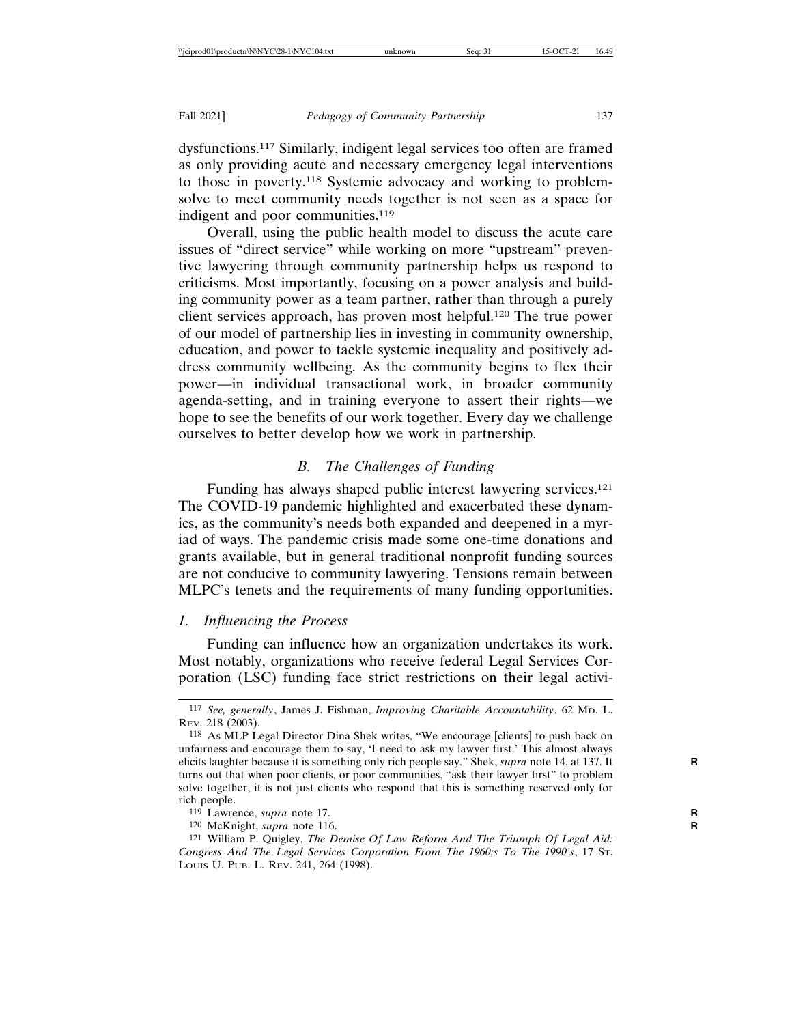dysfunctions.117 Similarly, indigent legal services too often are framed as only providing acute and necessary emergency legal interventions to those in poverty.118 Systemic advocacy and working to problemsolve to meet community needs together is not seen as a space for indigent and poor communities.<sup>119</sup>

Overall, using the public health model to discuss the acute care issues of "direct service" while working on more "upstream" preventive lawyering through community partnership helps us respond to criticisms. Most importantly, focusing on a power analysis and building community power as a team partner, rather than through a purely client services approach, has proven most helpful.120 The true power of our model of partnership lies in investing in community ownership, education, and power to tackle systemic inequality and positively address community wellbeing. As the community begins to flex their power—in individual transactional work, in broader community agenda-setting, and in training everyone to assert their rights—we hope to see the benefits of our work together. Every day we challenge ourselves to better develop how we work in partnership.

### *B. The Challenges of Funding*

Funding has always shaped public interest lawyering services.121 The COVID-19 pandemic highlighted and exacerbated these dynamics, as the community's needs both expanded and deepened in a myriad of ways. The pandemic crisis made some one-time donations and grants available, but in general traditional nonprofit funding sources are not conducive to community lawyering. Tensions remain between MLPC's tenets and the requirements of many funding opportunities.

## *1. Influencing the Process*

Funding can influence how an organization undertakes its work. Most notably, organizations who receive federal Legal Services Corporation (LSC) funding face strict restrictions on their legal activi-

<sup>117</sup> *See, generally*, James J. Fishman, *Improving Charitable Accountability*, 62 MD. L. REV. 218 (2003).

<sup>118</sup> As MLP Legal Director Dina Shek writes, "We encourage [clients] to push back on unfairness and encourage them to say, 'I need to ask my lawyer first.' This almost always elicits laughter because it is something only rich people say." Shek, *supra* note 14, at 137. It **R** turns out that when poor clients, or poor communities, "ask their lawyer first" to problem solve together, it is not just clients who respond that this is something reserved only for rich people.

<sup>119</sup> Lawrence, *supra* note 17. **R**

<sup>120</sup> McKnight, *supra* note 116. **R**

<sup>121</sup> William P. Quigley, *The Demise Of Law Reform And The Triumph Of Legal Aid: Congress And The Legal Services Corporation From The 1960;s To The 1990's*, 17 ST. LOUIS U. PUB. L. REV. 241, 264 (1998).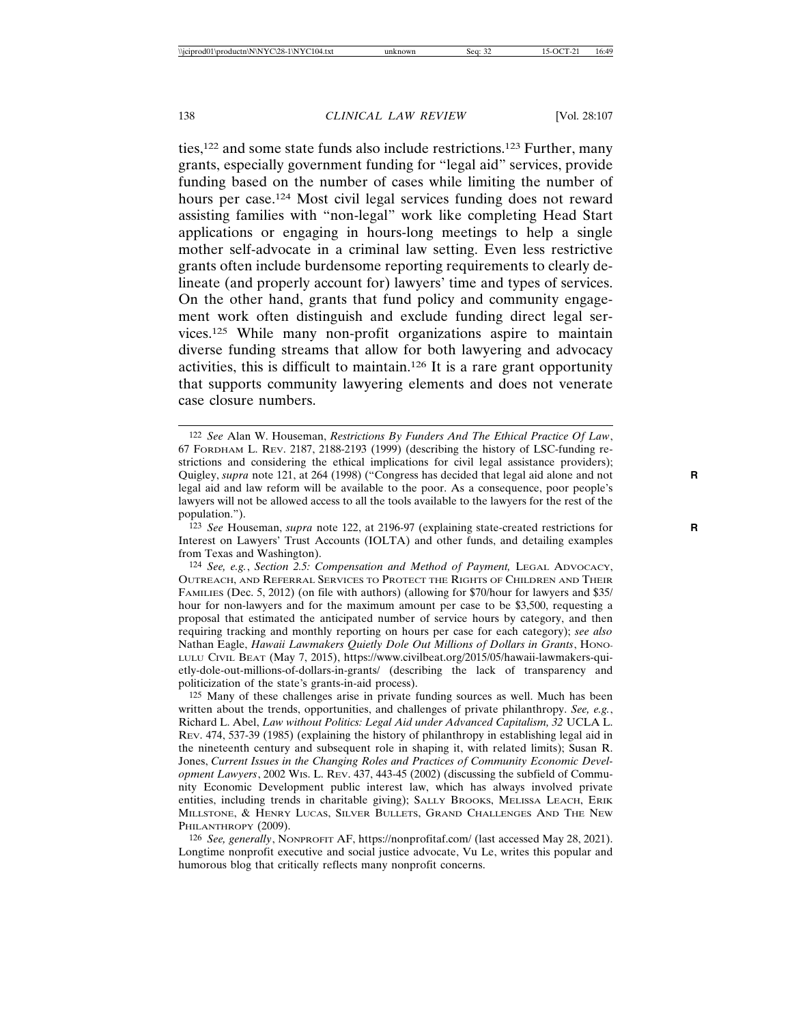ties,122 and some state funds also include restrictions.123 Further, many grants, especially government funding for "legal aid" services, provide funding based on the number of cases while limiting the number of hours per case.124 Most civil legal services funding does not reward assisting families with "non-legal" work like completing Head Start applications or engaging in hours-long meetings to help a single mother self-advocate in a criminal law setting. Even less restrictive grants often include burdensome reporting requirements to clearly delineate (and properly account for) lawyers' time and types of services. On the other hand, grants that fund policy and community engagement work often distinguish and exclude funding direct legal services.125 While many non-profit organizations aspire to maintain diverse funding streams that allow for both lawyering and advocacy activities, this is difficult to maintain.126 It is a rare grant opportunity that supports community lawyering elements and does not venerate case closure numbers.

123 *See* Houseman, *supra* note 122, at 2196-97 (explaining state-created restrictions for **R** Interest on Lawyers' Trust Accounts (IOLTA) and other funds, and detailing examples from Texas and Washington).

<sup>122</sup> *See* Alan W. Houseman, *Restrictions By Funders And The Ethical Practice Of Law*, 67 FORDHAM L. REV. 2187, 2188-2193 (1999) (describing the history of LSC-funding restrictions and considering the ethical implications for civil legal assistance providers); Quigley, *supra* note 121, at 264 (1998) ("Congress has decided that legal aid alone and not **R** legal aid and law reform will be available to the poor. As a consequence, poor people's lawyers will not be allowed access to all the tools available to the lawyers for the rest of the population.").

<sup>124</sup> *See, e.g.*, *Section 2.5: Compensation and Method of Payment,* LEGAL ADVOCACY, OUTREACH, AND REFERRAL SERVICES TO PROTECT THE RIGHTS OF CHILDREN AND THEIR FAMILIES (Dec. 5, 2012) (on file with authors) (allowing for \$70/hour for lawyers and \$35/ hour for non-lawyers and for the maximum amount per case to be \$3,500, requesting a proposal that estimated the anticipated number of service hours by category, and then requiring tracking and monthly reporting on hours per case for each category); *see also* Nathan Eagle, *Hawaii Lawmakers Quietly Dole Out Millions of Dollars in Grants*, HONO-LULU CIVIL BEAT (May 7, 2015), https://www.civilbeat.org/2015/05/hawaii-lawmakers-quietly-dole-out-millions-of-dollars-in-grants/ (describing the lack of transparency and politicization of the state's grants-in-aid process).

<sup>125</sup> Many of these challenges arise in private funding sources as well. Much has been written about the trends, opportunities, and challenges of private philanthropy. *See, e.g.*, Richard L. Abel, *Law without Politics: Legal Aid under Advanced Capitalism, 32* UCLA L. REV. 474, 537-39 (1985) (explaining the history of philanthropy in establishing legal aid in the nineteenth century and subsequent role in shaping it, with related limits); Susan R. Jones, *Current Issues in the Changing Roles and Practices of Community Economic Development Lawyers*, 2002 WIS. L. REV. 437, 443-45 (2002) (discussing the subfield of Community Economic Development public interest law, which has always involved private entities, including trends in charitable giving); SALLY BROOKS, MELISSA LEACH, ERIK MILLSTONE, & HENRY LUCAS, SILVER BULLETS, GRAND CHALLENGES AND THE NEW PHILANTHROPY (2009).

<sup>126</sup> *See, generally*, NONPROFIT AF, https://nonprofitaf.com/ (last accessed May 28, 2021). Longtime nonprofit executive and social justice advocate, Vu Le, writes this popular and humorous blog that critically reflects many nonprofit concerns.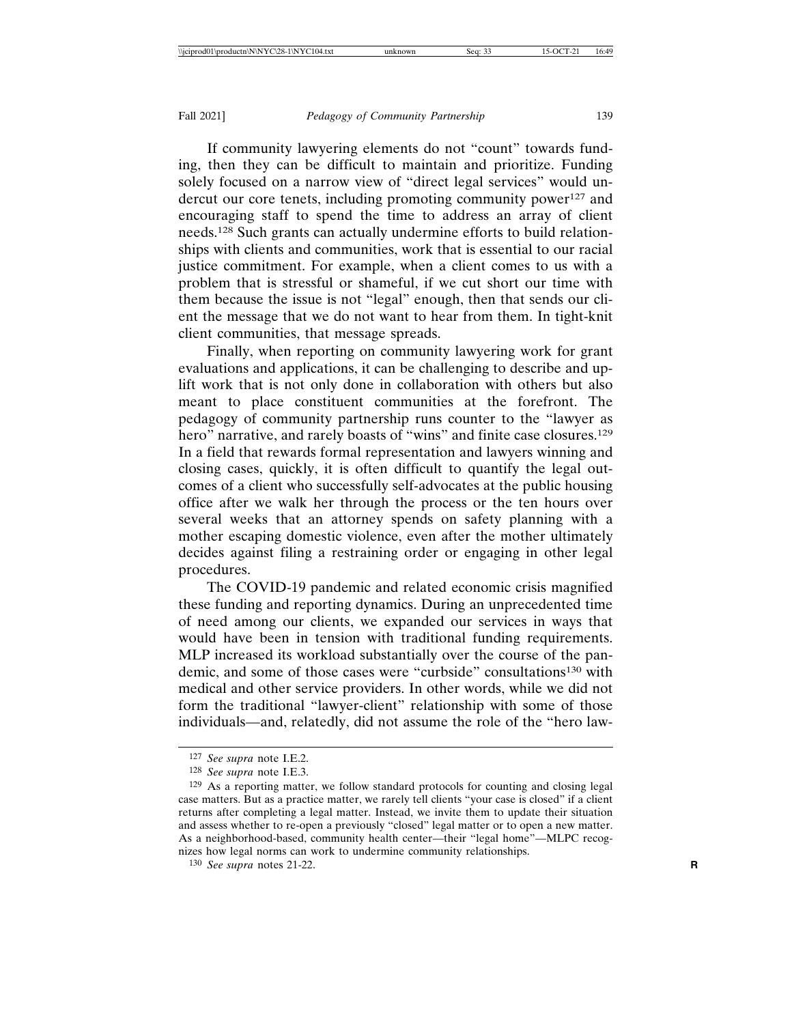If community lawyering elements do not "count" towards funding, then they can be difficult to maintain and prioritize. Funding solely focused on a narrow view of "direct legal services" would undercut our core tenets, including promoting community power<sup>127</sup> and encouraging staff to spend the time to address an array of client needs.128 Such grants can actually undermine efforts to build relationships with clients and communities, work that is essential to our racial justice commitment. For example, when a client comes to us with a problem that is stressful or shameful, if we cut short our time with them because the issue is not "legal" enough, then that sends our client the message that we do not want to hear from them. In tight-knit client communities, that message spreads.

Finally, when reporting on community lawyering work for grant evaluations and applications, it can be challenging to describe and uplift work that is not only done in collaboration with others but also meant to place constituent communities at the forefront. The pedagogy of community partnership runs counter to the "lawyer as hero" narrative, and rarely boasts of "wins" and finite case closures.<sup>129</sup> In a field that rewards formal representation and lawyers winning and closing cases, quickly, it is often difficult to quantify the legal outcomes of a client who successfully self-advocates at the public housing office after we walk her through the process or the ten hours over several weeks that an attorney spends on safety planning with a mother escaping domestic violence, even after the mother ultimately decides against filing a restraining order or engaging in other legal procedures.

The COVID-19 pandemic and related economic crisis magnified these funding and reporting dynamics. During an unprecedented time of need among our clients, we expanded our services in ways that would have been in tension with traditional funding requirements. MLP increased its workload substantially over the course of the pandemic, and some of those cases were "curbside" consultations130 with medical and other service providers. In other words, while we did not form the traditional "lawyer-client" relationship with some of those individuals—and, relatedly, did not assume the role of the "hero law-

<sup>127</sup> *See supra* note I.E.2.

<sup>128</sup> *See supra* note I.E.3.

<sup>129</sup> As a reporting matter, we follow standard protocols for counting and closing legal case matters. But as a practice matter, we rarely tell clients "your case is closed" if a client returns after completing a legal matter. Instead, we invite them to update their situation and assess whether to re-open a previously "closed" legal matter or to open a new matter. As a neighborhood-based, community health center—their "legal home"—MLPC recognizes how legal norms can work to undermine community relationships.

<sup>130</sup> *See supra* notes 21-22. **R**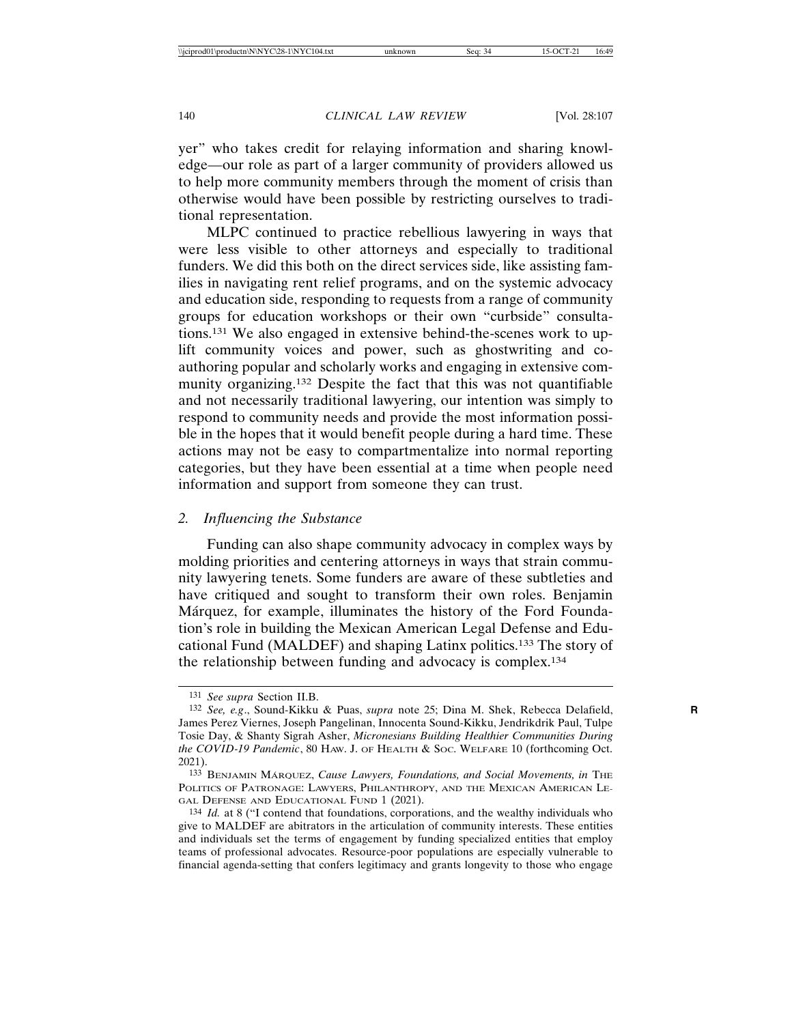yer" who takes credit for relaying information and sharing knowledge—our role as part of a larger community of providers allowed us to help more community members through the moment of crisis than otherwise would have been possible by restricting ourselves to traditional representation.

MLPC continued to practice rebellious lawyering in ways that were less visible to other attorneys and especially to traditional funders. We did this both on the direct services side, like assisting families in navigating rent relief programs, and on the systemic advocacy and education side, responding to requests from a range of community groups for education workshops or their own "curbside" consultations.131 We also engaged in extensive behind-the-scenes work to uplift community voices and power, such as ghostwriting and coauthoring popular and scholarly works and engaging in extensive community organizing.132 Despite the fact that this was not quantifiable and not necessarily traditional lawyering, our intention was simply to respond to community needs and provide the most information possible in the hopes that it would benefit people during a hard time. These actions may not be easy to compartmentalize into normal reporting categories, but they have been essential at a time when people need information and support from someone they can trust.

## *2. Influencing the Substance*

Funding can also shape community advocacy in complex ways by molding priorities and centering attorneys in ways that strain community lawyering tenets. Some funders are aware of these subtleties and have critiqued and sought to transform their own roles. Benjamin Márquez, for example, illuminates the history of the Ford Foundation's role in building the Mexican American Legal Defense and Educational Fund (MALDEF) and shaping Latinx politics.133 The story of the relationship between funding and advocacy is complex.134

<sup>131</sup> *See supra* Section II.B.

<sup>132</sup> *See, e.g*., Sound-Kikku & Puas, *supra* note 25; Dina M. Shek, Rebecca Delafield, **R** James Perez Viernes, Joseph Pangelinan, Innocenta Sound-Kikku, Jendrikdrik Paul, Tulpe Tosie Day, & Shanty Sigrah Asher, *Micronesians Building Healthier Communities During the COVID-19 Pandemic*, 80 HAW. J. OF HEALTH & SOC. WELFARE 10 (forthcoming Oct. 2021).

<sup>133</sup> BENJAMIN MÁRQUEZ, Cause Lawyers, Foundations, and Social Movements, in THE POLITICS OF PATRONAGE: LAWYERS, PHILANTHROPY, AND THE MEXICAN AMERICAN LE-GAL DEFENSE AND EDUCATIONAL FUND 1 (2021).

<sup>134</sup> *Id.* at 8 ("I contend that foundations, corporations, and the wealthy individuals who give to MALDEF are abitrators in the articulation of community interests. These entities and individuals set the terms of engagement by funding specialized entities that employ teams of professional advocates. Resource-poor populations are especially vulnerable to financial agenda-setting that confers legitimacy and grants longevity to those who engage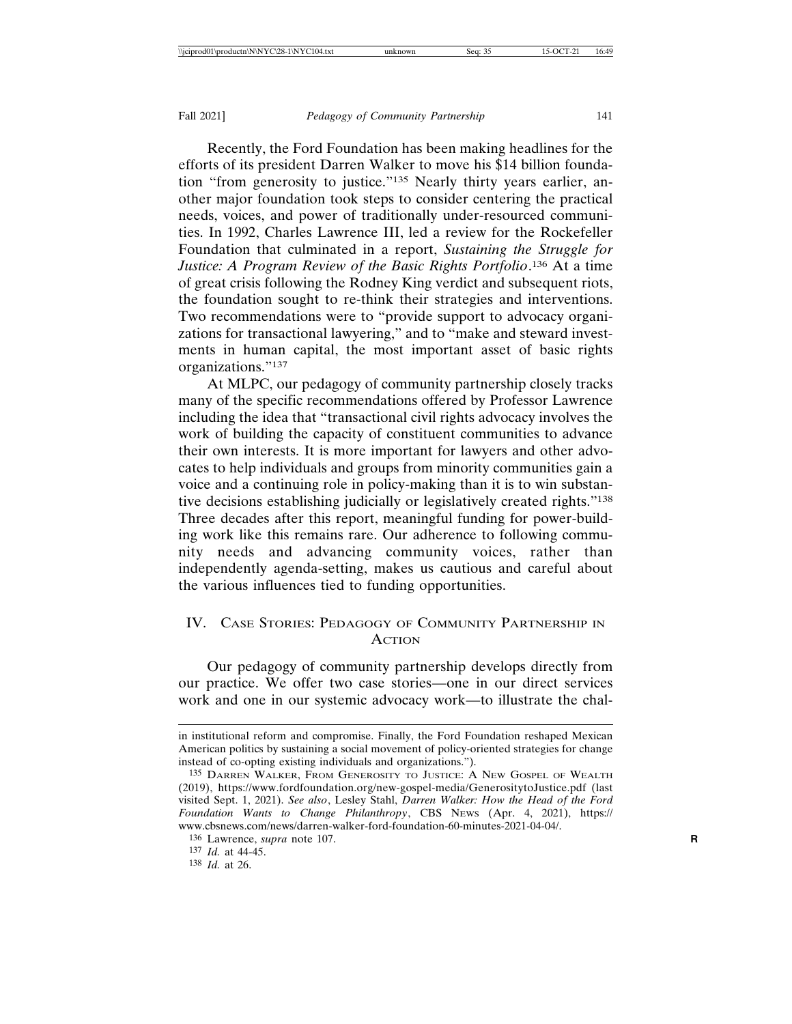Recently, the Ford Foundation has been making headlines for the efforts of its president Darren Walker to move his \$14 billion foundation "from generosity to justice."135 Nearly thirty years earlier, another major foundation took steps to consider centering the practical needs, voices, and power of traditionally under-resourced communities. In 1992, Charles Lawrence III, led a review for the Rockefeller Foundation that culminated in a report, *Sustaining the Struggle for Justice: A Program Review of the Basic Rights Portfolio*. 136 At a time of great crisis following the Rodney King verdict and subsequent riots, the foundation sought to re-think their strategies and interventions. Two recommendations were to "provide support to advocacy organizations for transactional lawyering," and to "make and steward investments in human capital, the most important asset of basic rights organizations."137

At MLPC, our pedagogy of community partnership closely tracks many of the specific recommendations offered by Professor Lawrence including the idea that "transactional civil rights advocacy involves the work of building the capacity of constituent communities to advance their own interests. It is more important for lawyers and other advocates to help individuals and groups from minority communities gain a voice and a continuing role in policy-making than it is to win substantive decisions establishing judicially or legislatively created rights."138 Three decades after this report, meaningful funding for power-building work like this remains rare. Our adherence to following community needs and advancing community voices, rather than independently agenda-setting, makes us cautious and careful about the various influences tied to funding opportunities.

## IV. CASE STORIES: PEDAGOGY OF COMMUNITY PARTNERSHIP IN **ACTION**

Our pedagogy of community partnership develops directly from our practice. We offer two case stories—one in our direct services work and one in our systemic advocacy work—to illustrate the chal-

in institutional reform and compromise. Finally, the Ford Foundation reshaped Mexican American politics by sustaining a social movement of policy-oriented strategies for change instead of co-opting existing individuals and organizations.").

<sup>135</sup> DARREN WALKER, FROM GENEROSITY TO JUSTICE: A NEW GOSPEL OF WEALTH (2019), https://www.fordfoundation.org/new-gospel-media/GenerositytoJustice.pdf (last visited Sept. 1, 2021). *See also*, Lesley Stahl, *Darren Walker: How the Head of the Ford Foundation Wants to Change Philanthropy*, CBS NEWS (Apr. 4, 2021), https:// www.cbsnews.com/news/darren-walker-ford-foundation-60-minutes-2021-04-04/.

<sup>136</sup> Lawrence, *supra* note 107. **R**

<sup>137</sup> *Id.* at 44-45.

<sup>138</sup> *Id.* at 26.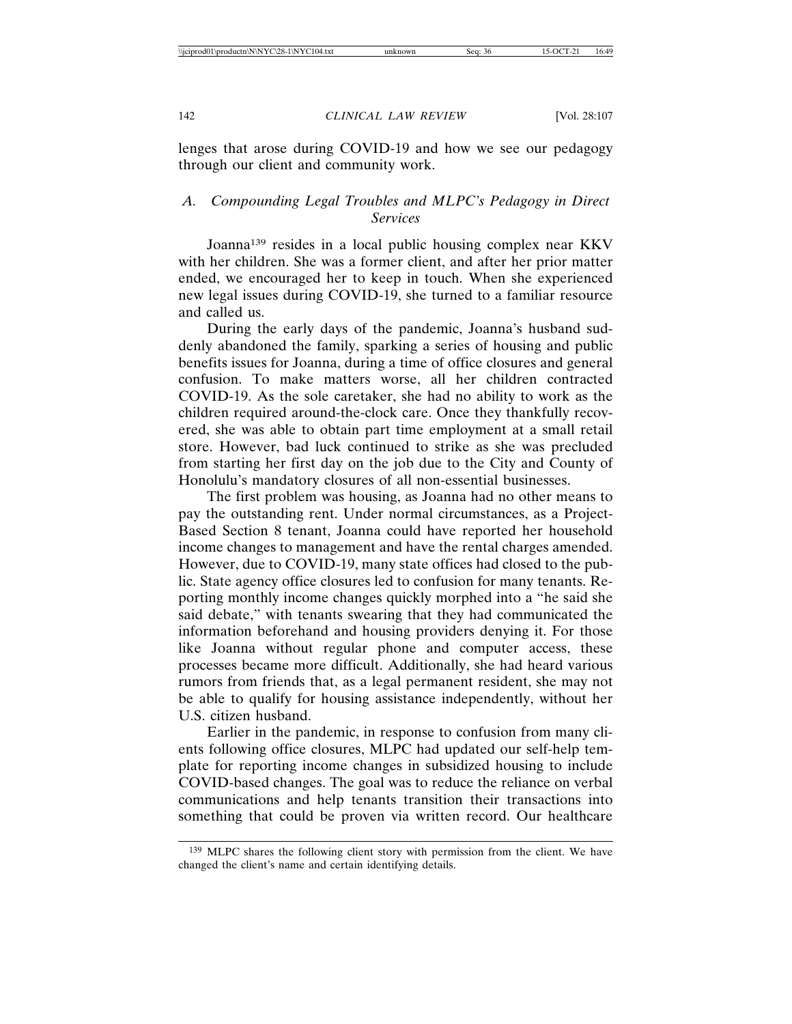lenges that arose during COVID-19 and how we see our pedagogy through our client and community work.

## *A. Compounding Legal Troubles and MLPC's Pedagogy in Direct Services*

Joanna139 resides in a local public housing complex near KKV with her children. She was a former client, and after her prior matter ended, we encouraged her to keep in touch. When she experienced new legal issues during COVID-19, she turned to a familiar resource and called us.

During the early days of the pandemic, Joanna's husband suddenly abandoned the family, sparking a series of housing and public benefits issues for Joanna, during a time of office closures and general confusion. To make matters worse, all her children contracted COVID-19. As the sole caretaker, she had no ability to work as the children required around-the-clock care. Once they thankfully recovered, she was able to obtain part time employment at a small retail store. However, bad luck continued to strike as she was precluded from starting her first day on the job due to the City and County of Honolulu's mandatory closures of all non-essential businesses.

The first problem was housing, as Joanna had no other means to pay the outstanding rent. Under normal circumstances, as a Project-Based Section 8 tenant, Joanna could have reported her household income changes to management and have the rental charges amended. However, due to COVID-19, many state offices had closed to the public. State agency office closures led to confusion for many tenants. Reporting monthly income changes quickly morphed into a "he said she said debate," with tenants swearing that they had communicated the information beforehand and housing providers denying it. For those like Joanna without regular phone and computer access, these processes became more difficult. Additionally, she had heard various rumors from friends that, as a legal permanent resident, she may not be able to qualify for housing assistance independently, without her U.S. citizen husband.

Earlier in the pandemic, in response to confusion from many clients following office closures, MLPC had updated our self-help template for reporting income changes in subsidized housing to include COVID-based changes. The goal was to reduce the reliance on verbal communications and help tenants transition their transactions into something that could be proven via written record. Our healthcare

<sup>139</sup> MLPC shares the following client story with permission from the client. We have changed the client's name and certain identifying details.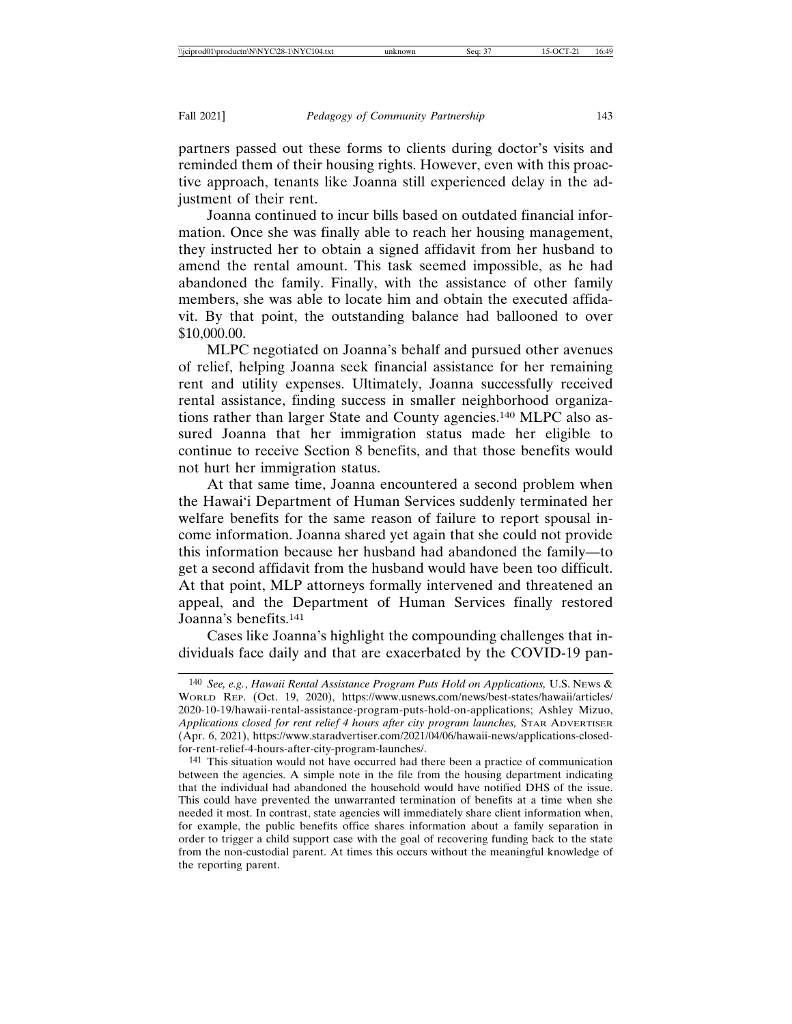partners passed out these forms to clients during doctor's visits and reminded them of their housing rights. However, even with this proactive approach, tenants like Joanna still experienced delay in the adjustment of their rent.

Joanna continued to incur bills based on outdated financial information. Once she was finally able to reach her housing management, they instructed her to obtain a signed affidavit from her husband to amend the rental amount. This task seemed impossible, as he had abandoned the family. Finally, with the assistance of other family members, she was able to locate him and obtain the executed affidavit. By that point, the outstanding balance had ballooned to over \$10,000.00.

MLPC negotiated on Joanna's behalf and pursued other avenues of relief, helping Joanna seek financial assistance for her remaining rent and utility expenses. Ultimately, Joanna successfully received rental assistance, finding success in smaller neighborhood organizations rather than larger State and County agencies.140 MLPC also assured Joanna that her immigration status made her eligible to continue to receive Section 8 benefits, and that those benefits would not hurt her immigration status.

At that same time, Joanna encountered a second problem when the Hawai'i Department of Human Services suddenly terminated her welfare benefits for the same reason of failure to report spousal income information. Joanna shared yet again that she could not provide this information because her husband had abandoned the family—to get a second affidavit from the husband would have been too difficult. At that point, MLP attorneys formally intervened and threatened an appeal, and the Department of Human Services finally restored Joanna's benefits.141

Cases like Joanna's highlight the compounding challenges that individuals face daily and that are exacerbated by the COVID-19 pan-

<sup>140</sup> *See, e.g.*, *Hawaii Rental Assistance Program Puts Hold on Applications,* U.S. NEWS & WORLD REP. (Oct. 19, 2020), https://www.usnews.com/news/best-states/hawaii/articles/ 2020-10-19/hawaii-rental-assistance-program-puts-hold-on-applications; Ashley Mizuo, *Applications closed for rent relief 4 hours after city program launches,* STAR ADVERTISER (Apr. 6, 2021), https://www.staradvertiser.com/2021/04/06/hawaii-news/applications-closedfor-rent-relief-4-hours-after-city-program-launches/.

<sup>141</sup> This situation would not have occurred had there been a practice of communication between the agencies. A simple note in the file from the housing department indicating that the individual had abandoned the household would have notified DHS of the issue. This could have prevented the unwarranted termination of benefits at a time when she needed it most. In contrast, state agencies will immediately share client information when, for example, the public benefits office shares information about a family separation in order to trigger a child support case with the goal of recovering funding back to the state from the non-custodial parent. At times this occurs without the meaningful knowledge of the reporting parent.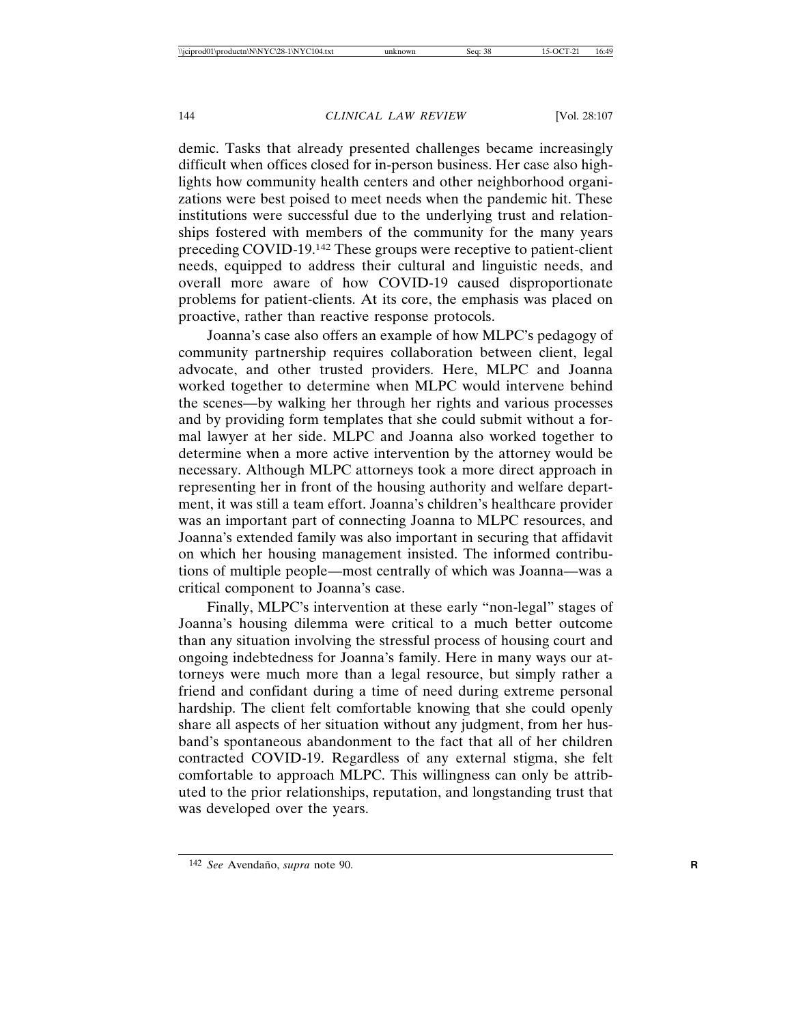demic. Tasks that already presented challenges became increasingly difficult when offices closed for in-person business. Her case also highlights how community health centers and other neighborhood organizations were best poised to meet needs when the pandemic hit. These institutions were successful due to the underlying trust and relationships fostered with members of the community for the many years preceding COVID-19.142 These groups were receptive to patient-client needs, equipped to address their cultural and linguistic needs, and overall more aware of how COVID-19 caused disproportionate problems for patient-clients. At its core, the emphasis was placed on proactive, rather than reactive response protocols.

Joanna's case also offers an example of how MLPC's pedagogy of community partnership requires collaboration between client, legal advocate, and other trusted providers. Here, MLPC and Joanna worked together to determine when MLPC would intervene behind the scenes—by walking her through her rights and various processes and by providing form templates that she could submit without a formal lawyer at her side. MLPC and Joanna also worked together to determine when a more active intervention by the attorney would be necessary. Although MLPC attorneys took a more direct approach in representing her in front of the housing authority and welfare department, it was still a team effort. Joanna's children's healthcare provider was an important part of connecting Joanna to MLPC resources, and Joanna's extended family was also important in securing that affidavit on which her housing management insisted. The informed contributions of multiple people—most centrally of which was Joanna—was a critical component to Joanna's case.

Finally, MLPC's intervention at these early "non-legal" stages of Joanna's housing dilemma were critical to a much better outcome than any situation involving the stressful process of housing court and ongoing indebtedness for Joanna's family. Here in many ways our attorneys were much more than a legal resource, but simply rather a friend and confidant during a time of need during extreme personal hardship. The client felt comfortable knowing that she could openly share all aspects of her situation without any judgment, from her husband's spontaneous abandonment to the fact that all of her children contracted COVID-19. Regardless of any external stigma, she felt comfortable to approach MLPC. This willingness can only be attributed to the prior relationships, reputation, and longstanding trust that was developed over the years.

<sup>142</sup> *See* Avenda ˜no, *supra* note 90. **R**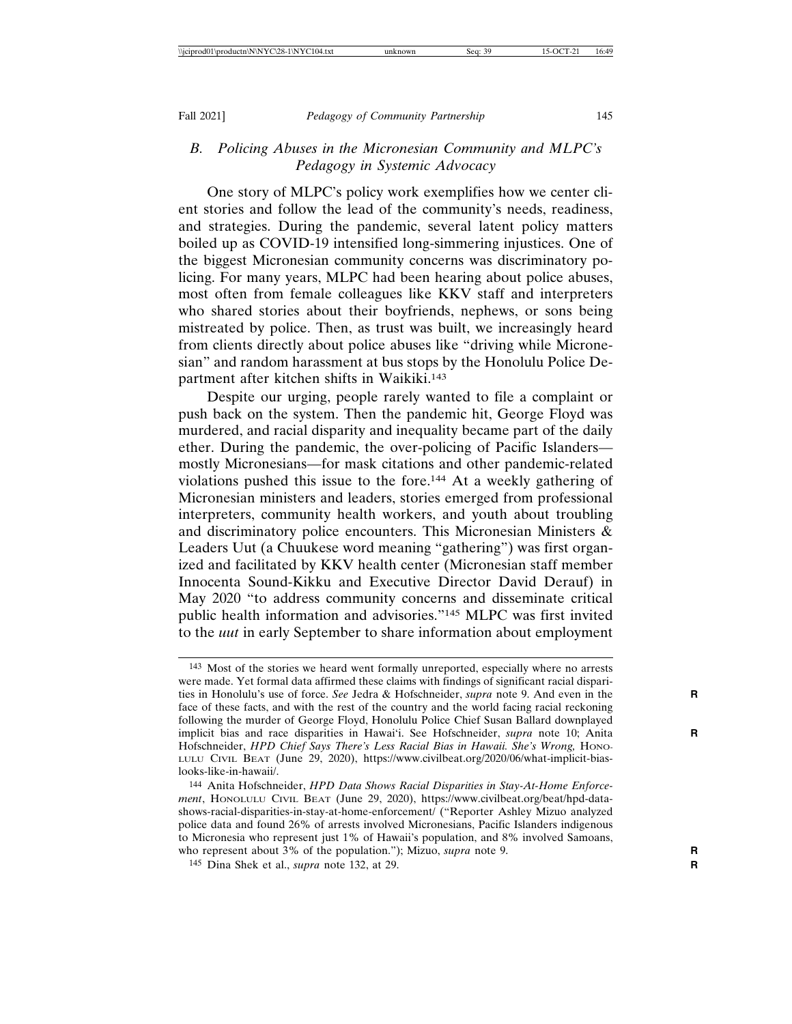## *B. Policing Abuses in the Micronesian Community and MLPC's Pedagogy in Systemic Advocacy*

One story of MLPC's policy work exemplifies how we center client stories and follow the lead of the community's needs, readiness, and strategies. During the pandemic, several latent policy matters boiled up as COVID-19 intensified long-simmering injustices. One of the biggest Micronesian community concerns was discriminatory policing. For many years, MLPC had been hearing about police abuses, most often from female colleagues like KKV staff and interpreters who shared stories about their boyfriends, nephews, or sons being mistreated by police. Then, as trust was built, we increasingly heard from clients directly about police abuses like "driving while Micronesian" and random harassment at bus stops by the Honolulu Police Department after kitchen shifts in Waikiki.143

Despite our urging, people rarely wanted to file a complaint or push back on the system. Then the pandemic hit, George Floyd was murdered, and racial disparity and inequality became part of the daily ether. During the pandemic, the over-policing of Pacific Islanders mostly Micronesians—for mask citations and other pandemic-related violations pushed this issue to the fore.144 At a weekly gathering of Micronesian ministers and leaders, stories emerged from professional interpreters, community health workers, and youth about troubling and discriminatory police encounters. This Micronesian Ministers & Leaders Uut (a Chuukese word meaning "gathering") was first organized and facilitated by KKV health center (Micronesian staff member Innocenta Sound-Kikku and Executive Director David Derauf) in May 2020 "to address community concerns and disseminate critical public health information and advisories."145 MLPC was first invited to the *uut* in early September to share information about employment

<sup>143</sup> Most of the stories we heard went formally unreported, especially where no arrests were made. Yet formal data affirmed these claims with findings of significant racial disparities in Honolulu's use of force. *See* Jedra & Hofschneider, *supra* note 9. And even in the **R** face of these facts, and with the rest of the country and the world facing racial reckoning following the murder of George Floyd, Honolulu Police Chief Susan Ballard downplayed implicit bias and race disparities in Hawai'i. See Hofschneider, *supra* note 10; Anita **R** Hofschneider, *HPD Chief Says There's Less Racial Bias in Hawaii. She's Wrong, HONO-*LULU CIVIL BEAT (June 29, 2020), https://www.civilbeat.org/2020/06/what-implicit-biaslooks-like-in-hawaii/.

<sup>144</sup> Anita Hofschneider, *HPD Data Shows Racial Disparities in Stay-At-Home Enforcement*, HONOLULU CIVIL BEAT (June 29, 2020), https://www.civilbeat.org/beat/hpd-datashows-racial-disparities-in-stay-at-home-enforcement/ ("Reporter Ashley Mizuo analyzed police data and found 26% of arrests involved Micronesians, Pacific Islanders indigenous to Micronesia who represent just 1% of Hawaii's population, and 8% involved Samoans, who represent about 3% of the population."); Mizuo, *supra* note 9. **R**

<sup>145</sup> Dina Shek et al., *supra* note 132, at 29. **R**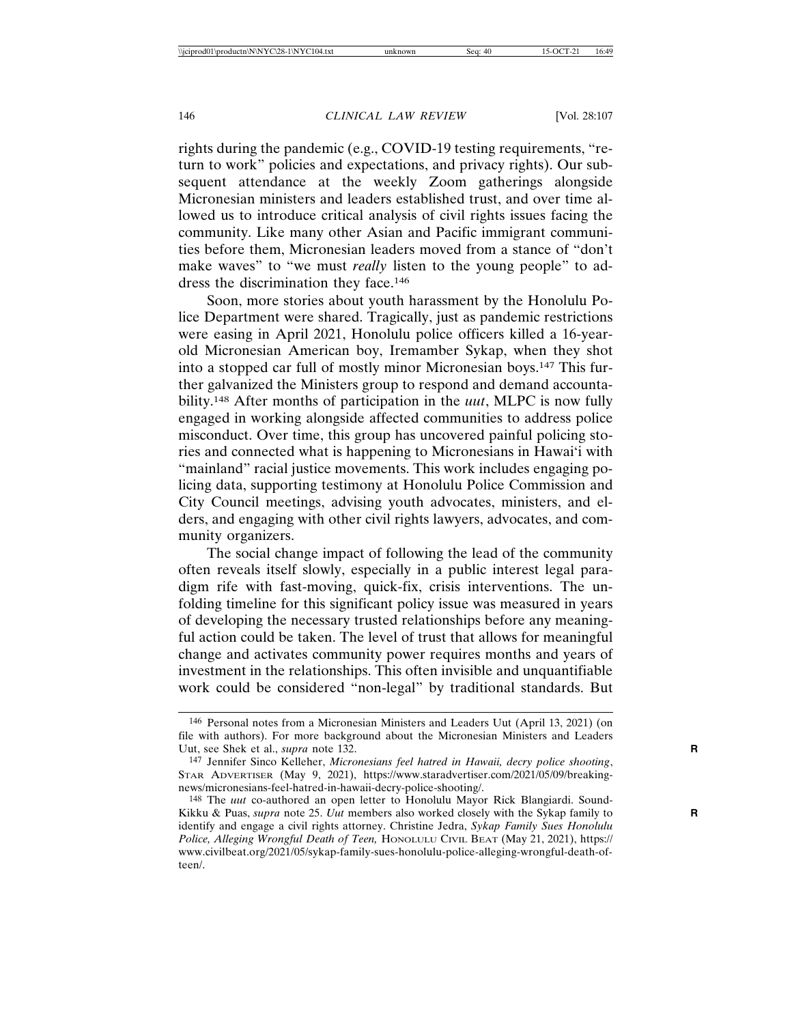rights during the pandemic (e.g., COVID-19 testing requirements, "return to work" policies and expectations, and privacy rights). Our subsequent attendance at the weekly Zoom gatherings alongside Micronesian ministers and leaders established trust, and over time allowed us to introduce critical analysis of civil rights issues facing the community. Like many other Asian and Pacific immigrant communities before them, Micronesian leaders moved from a stance of "don't make waves" to "we must *really* listen to the young people" to address the discrimination they face.146

Soon, more stories about youth harassment by the Honolulu Police Department were shared. Tragically, just as pandemic restrictions were easing in April 2021, Honolulu police officers killed a 16-yearold Micronesian American boy, Iremamber Sykap, when they shot into a stopped car full of mostly minor Micronesian boys.147 This further galvanized the Ministers group to respond and demand accountability.148 After months of participation in the *uut*, MLPC is now fully engaged in working alongside affected communities to address police misconduct. Over time, this group has uncovered painful policing stories and connected what is happening to Micronesians in Hawai'i with "mainland" racial justice movements. This work includes engaging policing data, supporting testimony at Honolulu Police Commission and City Council meetings, advising youth advocates, ministers, and elders, and engaging with other civil rights lawyers, advocates, and community organizers.

The social change impact of following the lead of the community often reveals itself slowly, especially in a public interest legal paradigm rife with fast-moving, quick-fix, crisis interventions. The unfolding timeline for this significant policy issue was measured in years of developing the necessary trusted relationships before any meaningful action could be taken. The level of trust that allows for meaningful change and activates community power requires months and years of investment in the relationships. This often invisible and unquantifiable work could be considered "non-legal" by traditional standards. But

<sup>146</sup> Personal notes from a Micronesian Ministers and Leaders Uut (April 13, 2021) (on file with authors). For more background about the Micronesian Ministers and Leaders Uut, see Shek et al., *supra* note 132. **R**

<sup>147</sup> Jennifer Sinco Kelleher, *Micronesians feel hatred in Hawaii, decry police shooting*, STAR ADVERTISER (May 9, 2021), https://www.staradvertiser.com/2021/05/09/breakingnews/micronesians-feel-hatred-in-hawaii-decry-police-shooting/.

<sup>148</sup> The *uut* co-authored an open letter to Honolulu Mayor Rick Blangiardi. Sound-Kikku & Puas, *supra* note 25. *Uut* members also worked closely with the Sykap family to **R** identify and engage a civil rights attorney. Christine Jedra, *Sykap Family Sues Honolulu Police, Alleging Wrongful Death of Teen,* HONOLULU CIVIL BEAT (May 21, 2021), https:// www.civilbeat.org/2021/05/sykap-family-sues-honolulu-police-alleging-wrongful-death-ofteen/.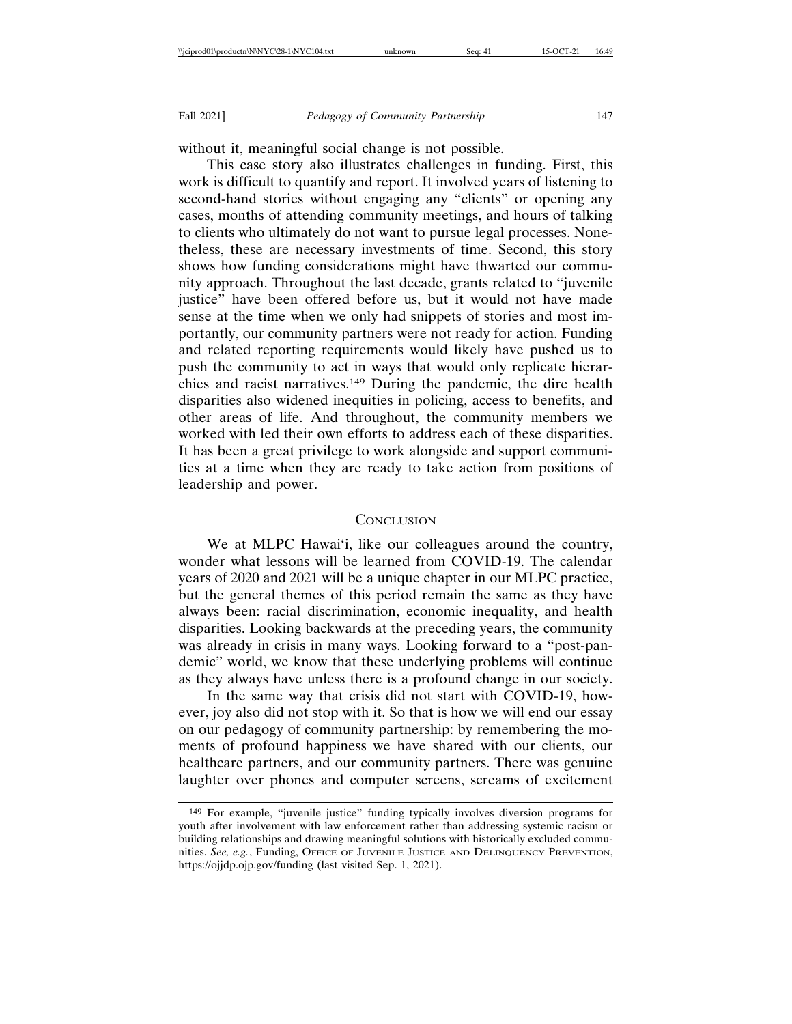without it, meaningful social change is not possible.

This case story also illustrates challenges in funding. First, this work is difficult to quantify and report. It involved years of listening to second-hand stories without engaging any "clients" or opening any cases, months of attending community meetings, and hours of talking to clients who ultimately do not want to pursue legal processes. Nonetheless, these are necessary investments of time. Second, this story shows how funding considerations might have thwarted our community approach. Throughout the last decade, grants related to "juvenile justice" have been offered before us, but it would not have made sense at the time when we only had snippets of stories and most importantly, our community partners were not ready for action. Funding and related reporting requirements would likely have pushed us to push the community to act in ways that would only replicate hierarchies and racist narratives.149 During the pandemic, the dire health disparities also widened inequities in policing, access to benefits, and other areas of life. And throughout, the community members we worked with led their own efforts to address each of these disparities. It has been a great privilege to work alongside and support communities at a time when they are ready to take action from positions of leadership and power.

#### **CONCLUSION**

We at MLPC Hawai'i, like our colleagues around the country, wonder what lessons will be learned from COVID-19. The calendar years of 2020 and 2021 will be a unique chapter in our MLPC practice, but the general themes of this period remain the same as they have always been: racial discrimination, economic inequality, and health disparities. Looking backwards at the preceding years, the community was already in crisis in many ways. Looking forward to a "post-pandemic" world, we know that these underlying problems will continue as they always have unless there is a profound change in our society.

In the same way that crisis did not start with COVID-19, however, joy also did not stop with it. So that is how we will end our essay on our pedagogy of community partnership: by remembering the moments of profound happiness we have shared with our clients, our healthcare partners, and our community partners. There was genuine laughter over phones and computer screens, screams of excitement

<sup>149</sup> For example, "juvenile justice" funding typically involves diversion programs for youth after involvement with law enforcement rather than addressing systemic racism or building relationships and drawing meaningful solutions with historically excluded communities. *See, e.g.*, Funding, OFFICE OF JUVENILE JUSTICE AND DELINQUENCY PREVENTION, https://ojjdp.ojp.gov/funding (last visited Sep. 1, 2021).